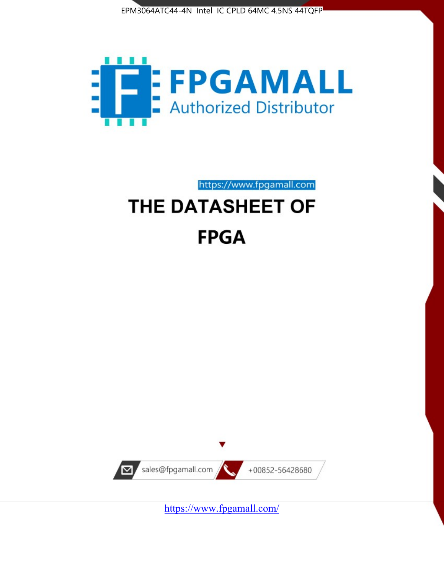



https://www.fpgamall.com

# THE DATASHEET OF **FPGA**



<https://www.fpgamall.com/>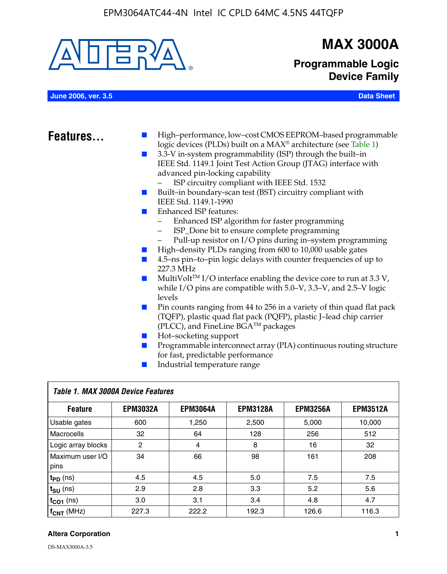

## **MAX 3000A**

**Programmable Logic Device Family**

**June 2006, ver. 3.5 Data Sheet**

- **Features.** I High–performance, low–cost CMOS EEPROM–based programmable logic devices (PLDs) built on a MAX® architecture (see Table 1)
	- 3.3-V in-system programmability (ISP) through the built–in IEEE Std. 1149.1 Joint Test Action Group (JTAG) interface with advanced pin-locking capability
		- ISP circuitry compliant with IEEE Std. 1532
	- Built–in boundary-scan test (BST) circuitry compliant with IEEE Std. 1149.1-1990
	- Enhanced ISP features:
		- Enhanced ISP algorithm for faster programming
		- ISP\_Done bit to ensure complete programming
		- Pull-up resistor on I/O pins during in–system programming
	- High–density PLDs ranging from 600 to 10,000 usable gates
	- 4.5–ns pin–to–pin logic delays with counter frequencies of up to 227.3 MHz
	- $\blacksquare$  MultiVolt<sup>TM</sup> I/O interface enabling the device core to run at 3.3 V, while I/O pins are compatible with 5.0–V, 3.3–V, and 2.5–V logic levels
	- Pin counts ranging from 44 to 256 in a variety of thin quad flat pack (TQFP), plastic quad flat pack (PQFP), plastic J–lead chip carrier (PLCC), and FineLine BGATM packages
	- Hot–socketing support
	- Programmable interconnect array (PIA) continuous routing structure for fast, predictable performance
	- Industrial temperature range

| Table 1. MAX 3000A Device Features |                 |                 |                 |                 |                 |  |
|------------------------------------|-----------------|-----------------|-----------------|-----------------|-----------------|--|
| <b>Feature</b>                     | <b>EPM3032A</b> | <b>EPM3064A</b> | <b>EPM3128A</b> | <b>EPM3256A</b> | <b>EPM3512A</b> |  |
| Usable gates                       | 600             | 1,250           | 2,500           | 5,000           | 10.000          |  |
| <b>Macrocells</b>                  | 32              | 64              | 128             | 256             | 512             |  |
| Logic array blocks                 | 2               | 4               | 8               | 16              | 32              |  |
| Maximum user I/O<br>pins           | 34              | 66              | 98              | 161             | 208             |  |
| $t_{PD}$ (ns)                      | 4.5             | 4.5             | 5.0             | 7.5             | 7.5             |  |
| $t_{\text{SU}}$ (ns)               | 2.9             | 2.8             | 3.3             | 5.2             | 5.6             |  |
| $t_{CO1}$ (ns)                     | 3.0             | 3.1             | 3.4             | 4.8             | 4.7             |  |
| $f_{CNT}$ (MHz)                    | 227.3           | 222.2           | 192.3           | 126.6           | 116.3           |  |

#### **Altera Corporation 1**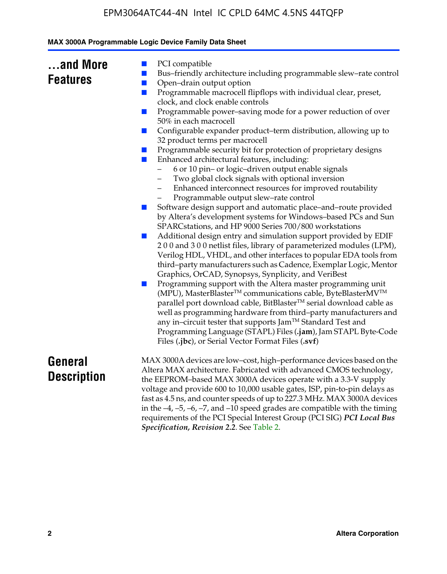|  | MAX 3000A Programmable Logic Device Family Data Sheet |  |  |  |
|--|-------------------------------------------------------|--|--|--|
|--|-------------------------------------------------------|--|--|--|

| and More        |  |
|-----------------|--|
| <b>Features</b> |  |

- PCI compatible
- Bus–friendly architecture including programmable slew–rate control
- Open–drain output option
- Programmable macrocell flipflops with individual clear, preset, clock, and clock enable controls
- Programmable power–saving mode for a power reduction of over 50% in each macrocell
- Configurable expander product–term distribution, allowing up to 32 product terms per macrocell
- Programmable security bit for protection of proprietary designs
- Enhanced architectural features, including:
	- 6 or 10 pin– or logic–driven output enable signals
	- Two global clock signals with optional inversion
	- Enhanced interconnect resources for improved routability
	- Programmable output slew–rate control
- Software design support and automatic place–and–route provided by Altera's development systems for Windows–based PCs and Sun SPARCstations, and HP 9000 Series 700/800 workstations
- Additional design entry and simulation support provided by EDIF 2 0 0 and 3 0 0 netlist files, library of parameterized modules (LPM), Verilog HDL, VHDL, and other interfaces to popular EDA tools from third–party manufacturers such as Cadence, Exemplar Logic, Mentor Graphics, OrCAD, Synopsys, Synplicity, and VeriBest
- Programming support with the Altera master programming unit (MPU), MasterBlaster™ communications cable, ByteBlasterMV™ parallel port download cable, BitBlaster™ serial download cable as well as programming hardware from third–party manufacturers and any in–circuit tester that supports Jam™ Standard Test and Programming Language (STAPL) Files (**.jam**), Jam STAPL Byte-Code Files (**.jbc**), or Serial Vector Format Files (**.svf**)

## **General Description**

MAX 3000A devices are low–cost, high–performance devices based on the Altera MAX architecture. Fabricated with advanced CMOS technology, the EEPROM–based MAX 3000A devices operate with a 3.3-V supply voltage and provide 600 to 10,000 usable gates, ISP, pin-to-pin delays as fast as 4.5 ns, and counter speeds of up to 227.3 MHz. MAX 3000A devices in the  $-4$ ,  $-5$ ,  $-6$ ,  $-7$ , and  $-10$  speed grades are compatible with the timing requirements of the PCI Special Interest Group (PCI SIG) *PCI Local Bus Specification, Revision 2.2*. See Table 2.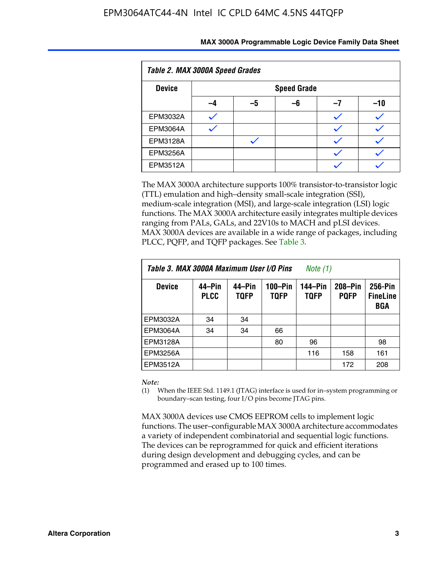| Table 2. MAX 3000A Speed Grades |    |                    |    |    |     |  |
|---------------------------------|----|--------------------|----|----|-----|--|
| <b>Device</b>                   |    | <b>Speed Grade</b> |    |    |     |  |
|                                 | -4 | –5                 | -6 | -7 | -10 |  |
| <b>EPM3032A</b>                 |    |                    |    |    |     |  |
| <b>EPM3064A</b>                 |    |                    |    |    |     |  |
| <b>EPM3128A</b>                 |    |                    |    |    |     |  |
| <b>EPM3256A</b>                 |    |                    |    |    |     |  |
| <b>EPM3512A</b>                 |    |                    |    |    |     |  |

The MAX 3000A architecture supports 100% transistor-to-transistor logic (TTL) emulation and high–density small-scale integration (SSI), medium-scale integration (MSI), and large-scale integration (LSI) logic functions. The MAX 3000A architecture easily integrates multiple devices ranging from PALs, GALs, and 22V10s to MACH and pLSI devices. MAX 3000A devices are available in a wide range of packages, including PLCC, PQFP, and TQFP packages. See Table 3.

| Table 3. MAX 3000A Maximum User I/O Pins | Note (1)              |                       |                        |                        |                        |                                   |
|------------------------------------------|-----------------------|-----------------------|------------------------|------------------------|------------------------|-----------------------------------|
| <b>Device</b>                            | 44–Pin<br><b>PLCC</b> | 44–Pin<br><b>TQFP</b> | 100-Pin<br><b>TQFP</b> | 144–Pin<br><b>TQFP</b> | 208-Pin<br><b>PQFP</b> | 256-Pin<br><b>FineLine</b><br>BGA |
| EPM3032A                                 | 34                    | 34                    |                        |                        |                        |                                   |
| <b>EPM3064A</b>                          | 34                    | 34                    | 66                     |                        |                        |                                   |
| EPM3128A                                 |                       |                       | 80                     | 96                     |                        | 98                                |
| EPM3256A                                 |                       |                       |                        | 116                    | 158                    | 161                               |
| EPM3512A                                 |                       |                       |                        |                        | 172                    | 208                               |

#### *Note:*

(1) When the IEEE Std. 1149.1 (JTAG) interface is used for in–system programming or boundary–scan testing, four I/O pins become JTAG pins.

MAX 3000A devices use CMOS EEPROM cells to implement logic functions. The user–configurable MAX 3000A architecture accommodates a variety of independent combinatorial and sequential logic functions. The devices can be reprogrammed for quick and efficient iterations during design development and debugging cycles, and can be programmed and erased up to 100 times.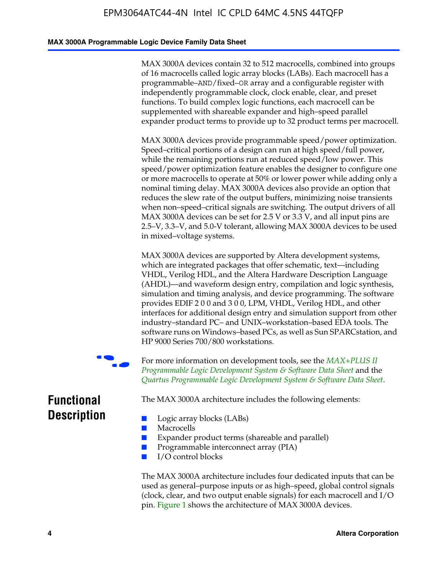#### **MAX 3000A Programmable Logic Device Family Data Sheet**

MAX 3000A devices contain 32 to 512 macrocells, combined into groups of 16 macrocells called logic array blocks (LABs). Each macrocell has a programmable–AND/fixed–OR array and a configurable register with independently programmable clock, clock enable, clear, and preset functions. To build complex logic functions, each macrocell can be supplemented with shareable expander and high–speed parallel expander product terms to provide up to 32 product terms per macrocell.

MAX 3000A devices provide programmable speed/power optimization. Speed–critical portions of a design can run at high speed/full power, while the remaining portions run at reduced speed/low power. This speed/power optimization feature enables the designer to configure one or more macrocells to operate at 50% or lower power while adding only a nominal timing delay. MAX 3000A devices also provide an option that reduces the slew rate of the output buffers, minimizing noise transients when non–speed–critical signals are switching. The output drivers of all MAX 3000A devices can be set for 2.5 V or 3.3 V, and all input pins are 2.5–V, 3.3–V, and 5.0-V tolerant, allowing MAX 3000A devices to be used in mixed–voltage systems.

MAX 3000A devices are supported by Altera development systems, which are integrated packages that offer schematic, text—including VHDL, Verilog HDL, and the Altera Hardware Description Language (AHDL)—and waveform design entry, compilation and logic synthesis, simulation and timing analysis, and device program[ming. The software](http://www.altera.com/literature/ds/dsmii.pdf)  [provides EDIF 2 0 0 and 3 0 0, LPM, VHDL, Verilog HDL, an](http://www.altera.com/literature/ds/dsmii.pdf)d other [interfaces for additional design entry and simulation support from ot](http://www.altera.com/literature/ds/quartus.pdf)her industry–standard PC– and UNIX–workstation–based EDA tools. The software runs on Windows–based PCs, as well as Sun SPARCstation, and HP 9000 Series 700/800 workstations.

For more information on development tools, see the *MAX+PLUS II Programmable Logic Development System & Software Data Sheet* and the *Quartus Programmable Logic Development System & Software Data Sheet*.

**Functional Description**

The MAX 3000A architecture includes the following elements:

- Logic array blocks (LABs)
- Macrocells
- Expander product terms (shareable and parallel)
- Programmable interconnect array (PIA)
- I/O control blocks

The MAX 3000A architecture includes four dedicated inputs that can be used as general–purpose inputs or as high–speed, global control signals (clock, clear, and two output enable signals) for each macrocell and I/O pin. Figure 1 shows the architecture of MAX 3000A devices.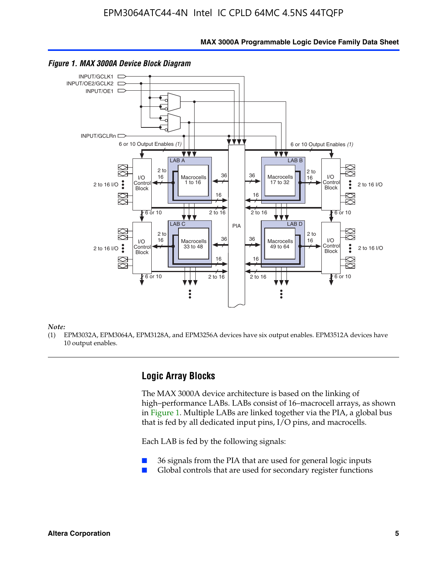**MAX 3000A Programmable Logic Device Family Data Sheet**



#### *Figure 1. MAX 3000A Device Block Diagram*

*Note:*

(1) EPM3032A, EPM3064A, EPM3128A, and EPM3256A devices have six output enables. EPM3512A devices have 10 output enables.

#### **Logic Array Blocks**

The MAX 3000A device architecture is based on the linking of high–performance LABs. LABs consist of 16–macrocell arrays, as shown in Figure 1. Multiple LABs are linked together via the PIA, a global bus that is fed by all dedicated input pins, I/O pins, and macrocells.

Each LAB is fed by the following signals:

- 36 signals from the PIA that are used for general logic inputs
- Global controls that are used for secondary register functions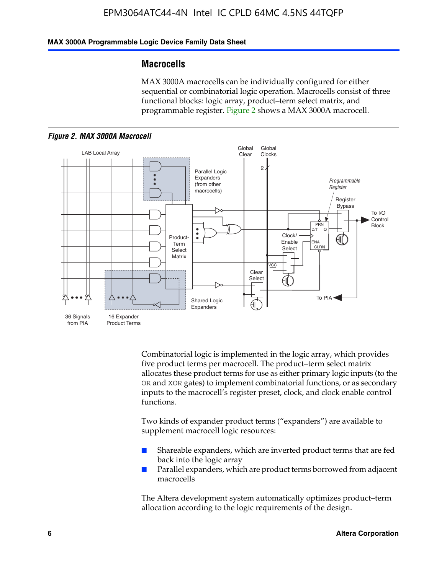#### **MAX 3000A Programmable Logic Device Family Data Sheet**

#### **Macrocells**

MAX 3000A macrocells can be individually configured for either sequential or combinatorial logic operation. Macrocells consist of three functional blocks: logic array, product–term select matrix, and programmable register. Figure 2 shows a MAX 3000A macrocell.





Combinatorial logic is implemented in the logic array, which provides five product terms per macrocell. The product–term select matrix allocates these product terms for use as either primary logic inputs (to the OR and XOR gates) to implement combinatorial functions, or as secondary inputs to the macrocell's register preset, clock, and clock enable control functions.

Two kinds of expander product terms ("expanders") are available to supplement macrocell logic resources:

- Shareable expanders, which are inverted product terms that are fed back into the logic array
- Parallel expanders, which are product terms borrowed from adjacent macrocells

The Altera development system automatically optimizes product–term allocation according to the logic requirements of the design.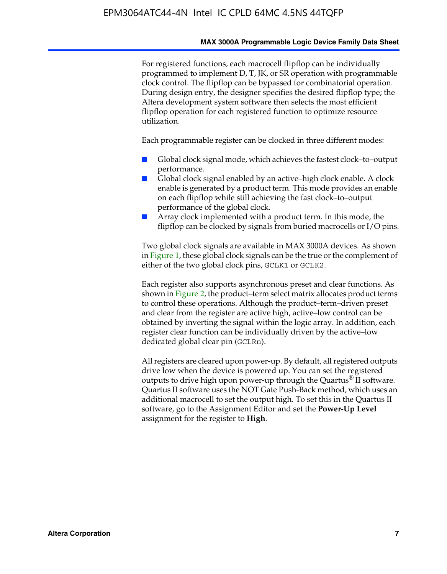#### **MAX 3000A Programmable Logic Device Family Data Sheet**

For registered functions, each macrocell flipflop can be individually programmed to implement D, T, JK, or SR operation with programmable clock control. The flipflop can be bypassed for combinatorial operation. During design entry, the designer specifies the desired flipflop type; the Altera development system software then selects the most efficient flipflop operation for each registered function to optimize resource utilization.

Each programmable register can be clocked in three different modes:

- Global clock signal mode, which achieves the fastest clock–to–output performance.
- Global clock signal enabled by an active–high clock enable. A clock enable is generated by a product term. This mode provides an enable on each flipflop while still achieving the fast clock–to–output performance of the global clock.
- Array clock implemented with a product term. In this mode, the flipflop can be clocked by signals from buried macrocells or I/O pins.

Two global clock signals are available in MAX 3000A devices. As shown in Figure 1, these global clock signals can be the true or the complement of either of the two global clock pins, GCLK1 or GCLK2.

Each register also supports asynchronous preset and clear functions. As shown in Figure 2, the product–term select matrix allocates product terms to control these operations. Although the product–term–driven preset and clear from the register are active high, active–low control can be obtained by inverting the signal within the logic array. In addition, each register clear function can be individually driven by the active–low dedicated global clear pin (GCLRn).

All registers are cleared upon power-up. By default, all registered outputs drive low when the device is powered up. You can set the registered outputs to drive high upon power-up through the Quartus<sup>®</sup> II software. Quartus II software uses the NOT Gate Push-Back method, which uses an additional macrocell to set the output high. To set this in the Quartus II software, go to the Assignment Editor and set the **Power-Up Level** assignment for the register to **High**.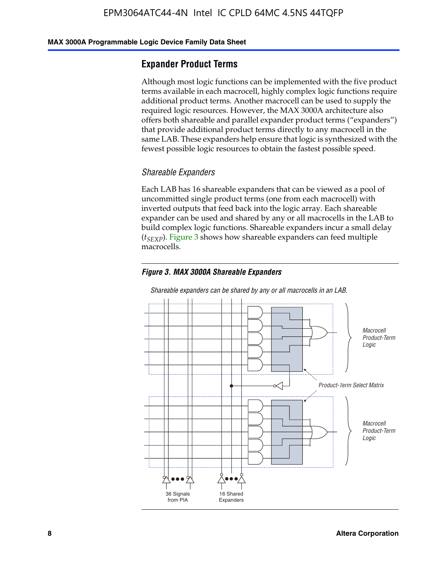#### **MAX 3000A Programmable Logic Device Family Data Sheet**

## **Expander Product Terms**

Although most logic functions can be implemented with the five product terms available in each macrocell, highly complex logic functions require additional product terms. Another macrocell can be used to supply the required logic resources. However, the MAX 3000A architecture also offers both shareable and parallel expander product terms ("expanders") that provide additional product terms directly to any macrocell in the same LAB. These expanders help ensure that logic is synthesized with the fewest possible logic resources to obtain the fastest possible speed.

#### *Shareable Expanders*

Each LAB has 16 shareable expanders that can be viewed as a pool of uncommitted single product terms (one from each macrocell) with inverted outputs that feed back into the logic array. Each shareable expander can be used and shared by any or all macrocells in the LAB to build complex logic functions. Shareable expanders incur a small delay (*t<sub>SEXP</sub>*). Figure 3 shows how shareable expanders can feed multiple macrocells.

#### *Figure 3. MAX 3000A Shareable Expanders*



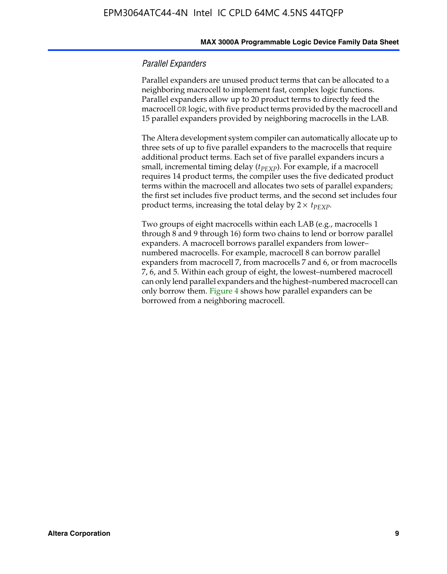#### **MAX 3000A Programmable Logic Device Family Data Sheet**

#### *Parallel Expanders*

Parallel expanders are unused product terms that can be allocated to a neighboring macrocell to implement fast, complex logic functions. Parallel expanders allow up to 20 product terms to directly feed the macrocell OR logic, with five product terms provided by the macrocell and 15 parallel expanders provided by neighboring macrocells in the LAB.

The Altera development system compiler can automatically allocate up to three sets of up to five parallel expanders to the macrocells that require additional product terms. Each set of five parallel expanders incurs a small, incremental timing delay (*t*<sub>PEXP</sub>). For example, if a macrocell requires 14 product terms, the compiler uses the five dedicated product terms within the macrocell and allocates two sets of parallel expanders; the first set includes five product terms, and the second set includes four product terms, increasing the total delay by  $2 \times t_{PEXP}$ .

Two groups of eight macrocells within each LAB (e.g., macrocells 1 through 8 and 9 through 16) form two chains to lend or borrow parallel expanders. A macrocell borrows parallel expanders from lower– numbered macrocells. For example, macrocell 8 can borrow parallel expanders from macrocell 7, from macrocells 7 and 6, or from macrocells 7, 6, and 5. Within each group of eight, the lowest–numbered macrocell can only lend parallel expanders and the highest–numbered macrocell can only borrow them. Figure 4 shows how parallel expanders can be borrowed from a neighboring macrocell.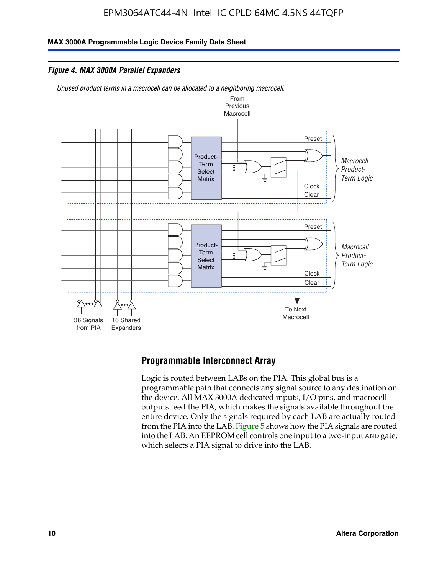**MAX 3000A Programmable Logic Device Family Data Sheet**

*Figure 4. MAX 3000A Parallel Expanders*

*Unused product terms in a macrocell can be allocated to a neighboring macrocell.*



## **Programmable Interconnect Array**

Logic is routed between LABs on the PIA. This global bus is a programmable path that connects any signal source to any destination on the device. All MAX 3000A dedicated inputs, I/O pins, and macrocell outputs feed the PIA, which makes the signals available throughout the entire device. Only the signals required by each LAB are actually routed from the PIA into the LAB. Figure 5 shows how the PIA signals are routed into the LAB. An EEPROM cell controls one input to a two-input AND gate, which selects a PIA signal to drive into the LAB.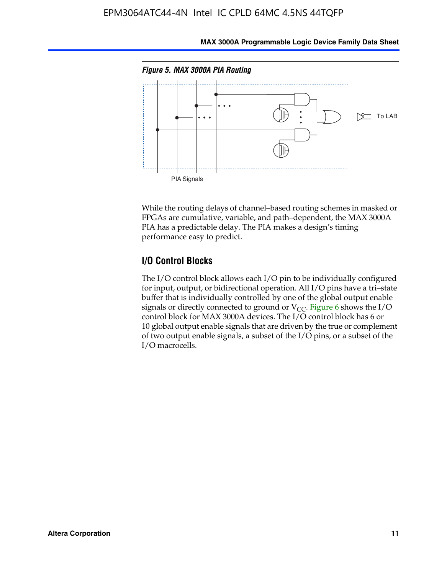

**MAX 3000A Programmable Logic Device Family Data Sheet**

While the routing delays of channel–based routing schemes in masked or FPGAs are cumulative, variable, and path–dependent, the MAX 3000A PIA has a predictable delay. The PIA makes a design's timing performance easy to predict.

## **I/O Control Blocks**

The I/O control block allows each I/O pin to be individually configured for input, output, or bidirectional operation. All I/O pins have a tri–state buffer that is individually controlled by one of the global output enable signals or directly connected to ground or  $V_{CC}$ . Figure 6 shows the I/O control block for MAX 3000A devices. The I/O control block has 6 or 10 global output enable signals that are driven by the true or complement of two output enable signals, a subset of the I/O pins, or a subset of the I/O macrocells.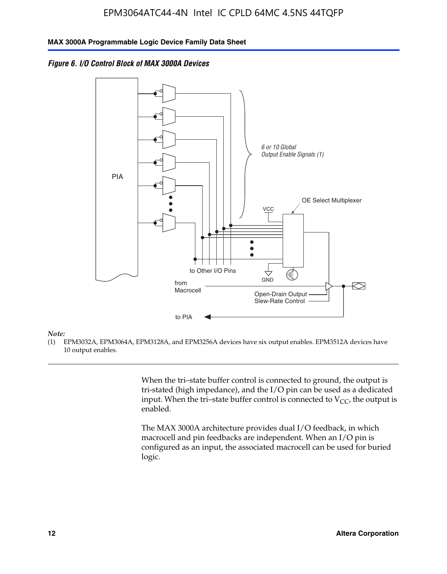



#### *Note:*

(1) EPM3032A, EPM3064A, EPM3128A, and EPM3256A devices have six output enables. EPM3512A devices have 10 output enables.

> When the tri–state buffer control is connected to ground, the output is tri-stated (high impedance), and the I/O pin can be used as a dedicated input. When the tri–state buffer control is connected to  $V_{CC}$ , the output is enabled.

The MAX 3000A architecture provides dual I/O feedback, in which macrocell and pin feedbacks are independent. When an I/O pin is configured as an input, the associated macrocell can be used for buried logic.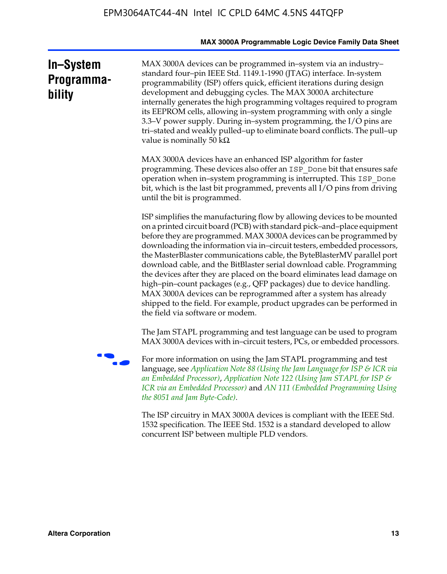|                                   | MAX 3000A Programmable Logic Device Family Data Sheet                                                                                                                                                                                                                                                                                                                                                                                                                                                                                                                                                                                                                                                                                                                                           |
|-----------------------------------|-------------------------------------------------------------------------------------------------------------------------------------------------------------------------------------------------------------------------------------------------------------------------------------------------------------------------------------------------------------------------------------------------------------------------------------------------------------------------------------------------------------------------------------------------------------------------------------------------------------------------------------------------------------------------------------------------------------------------------------------------------------------------------------------------|
| In-System<br>Programma-<br>bility | MAX 3000A devices can be programmed in-system via an industry-<br>standard four-pin IEEE Std. 1149.1-1990 (JTAG) interface. In-system<br>programmability (ISP) offers quick, efficient iterations during design<br>development and debugging cycles. The MAX 3000A architecture<br>internally generates the high programming voltages required to program<br>its EEPROM cells, allowing in-system programming with only a single<br>3.3–V power supply. During in–system programming, the I/O pins are<br>tri-stated and weakly pulled-up to eliminate board conflicts. The pull-up<br>value is nominally 50 $k\Omega$                                                                                                                                                                          |
|                                   | MAX 3000A devices have an enhanced ISP algorithm for faster<br>programming. These devices also offer an ISP Done bit that ensures safe<br>operation when in-system programming is interrupted. This ISP_Done<br>bit, which is the last bit programmed, prevents all I/O pins from driving<br>until the bit is programmed.                                                                                                                                                                                                                                                                                                                                                                                                                                                                       |
|                                   | ISP simplifies the manufacturing flow by allowing devices to be mounted<br>on a printed circuit board (PCB) with standard pick-and-place equipment<br>before they are programmed. MAX 3000A devices can be programmed by<br>downloading the information via in-circuit testers, embedded processors,<br>the MasterBlaster communications cable, the ByteBlasterMV parallel port<br>download cable, and the BitBlaster serial download cable. Programming<br>the devices after they are placed on the board eliminates lead damage on<br>high-pin-count packages (e.g., QFP packages) due to device handling.<br>MAX 3000A devices can be reprogrammed after a system has already<br>shipped to the field. For example, product upgrades can be performed in<br>the field via software or modem. |
|                                   | The Jam STAPL programming and test language can be used to program<br>MAX 3000A devices with in-circuit testers, PCs, or embedded processors.                                                                                                                                                                                                                                                                                                                                                                                                                                                                                                                                                                                                                                                   |
|                                   | For more information on using the Jam STAPL programming and test<br>language, see Application Note 88 (Using the Jam Language for ISP & ICR via<br>an Embedded Processor), Application Note 122 (Using Jam STAPL for ISP &<br>ICR via an Embedded Processor) and AN 111 (Embedded Programming Using<br>the 8051 and Jam Byte-Code).                                                                                                                                                                                                                                                                                                                                                                                                                                                             |
|                                   | The ISP circuitry in MAX 3000A devices is compliant with the IEEE Std.<br>1532 specification. The IEEE Std. 1532 is a standard developed to allow<br>concurrent ISP between multiple PLD vendors.                                                                                                                                                                                                                                                                                                                                                                                                                                                                                                                                                                                               |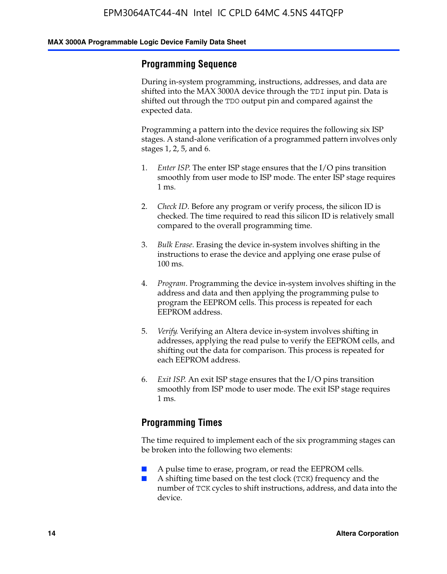### **Programming Sequence**

During in-system programming, instructions, addresses, and data are shifted into the MAX 3000A device through the TDI input pin. Data is shifted out through the TDO output pin and compared against the expected data.

Programming a pattern into the device requires the following six ISP stages. A stand-alone verification of a programmed pattern involves only stages 1, 2, 5, and 6.

- 1. *Enter ISP*. The enter ISP stage ensures that the I/O pins transition smoothly from user mode to ISP mode. The enter ISP stage requires 1 ms.
- 2. *Check ID*. Before any program or verify process, the silicon ID is checked. The time required to read this silicon ID is relatively small compared to the overall programming time.
- 3. *Bulk Erase*. Erasing the device in-system involves shifting in the instructions to erase the device and applying one erase pulse of 100 ms.
- 4. *Program*. Programming the device in-system involves shifting in the address and data and then applying the programming pulse to program the EEPROM cells. This process is repeated for each EEPROM address.
- 5. *Verify*. Verifying an Altera device in-system involves shifting in addresses, applying the read pulse to verify the EEPROM cells, and shifting out the data for comparison. This process is repeated for each EEPROM address.
- 6. *Exit ISP*. An exit ISP stage ensures that the I/O pins transition smoothly from ISP mode to user mode. The exit ISP stage requires 1 ms.

## **Programming Times**

The time required to implement each of the six programming stages can be broken into the following two elements:

- A pulse time to erase, program, or read the EEPROM cells.
- A shifting time based on the test clock (TCK) frequency and the number of TCK cycles to shift instructions, address, and data into the device.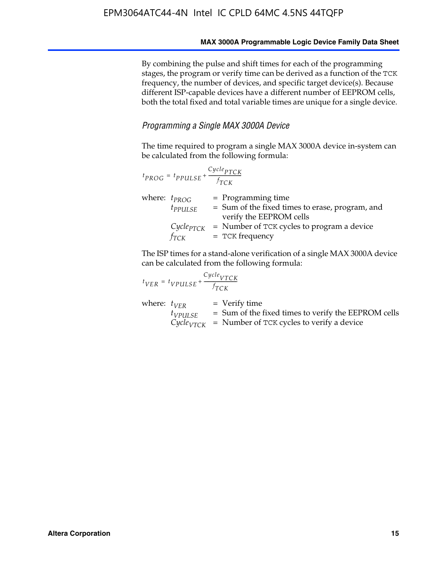By combining the pulse and shift times for each of the programming stages, the program or verify time can be derived as a function of the TCK frequency, the number of devices, and specific target device(s). Because different ISP-capable devices have a different number of EEPROM cells, both the total fixed and total variable times are unique for a single device.

#### *Programming a Single MAX 3000A Device*

The time required to program a single MAX 3000A device in-system can be calculated from the following formula:

| $t_{PROG} = t_{PPULSE} + \frac{Cycle_{PTCK}}{f_{TCK}}$ |                                                                                                    |
|--------------------------------------------------------|----------------------------------------------------------------------------------------------------|
| where: $t_{PROG}$<br>$t_{PPULSE}$                      | $=$ Programming time<br>= Sum of the fixed times to erase, program, and<br>verify the EEPROM cells |
| $Cycle_{PTCK}$<br>fтск                                 | = Number of TCK cycles to program a device<br>$=$ TCK frequency                                    |

The ISP times for a stand-alone verification of a single MAX 3000A device can be calculated from the following formula:

| $t_{VER} = t_{VPULSE} + \frac{t_{TCK}}{f_{TCK}}$ | $Cycle_{VTCK}$                                                                                                                    |
|--------------------------------------------------|-----------------------------------------------------------------------------------------------------------------------------------|
| where: $t_{VFR}$<br>$t_{VPULSE}$                 | $=$ Verify time<br>$=$ Sum of the fixed times to verify the EEPROM cells<br>$CycleVTCK$ = Number of TCK cycles to verify a device |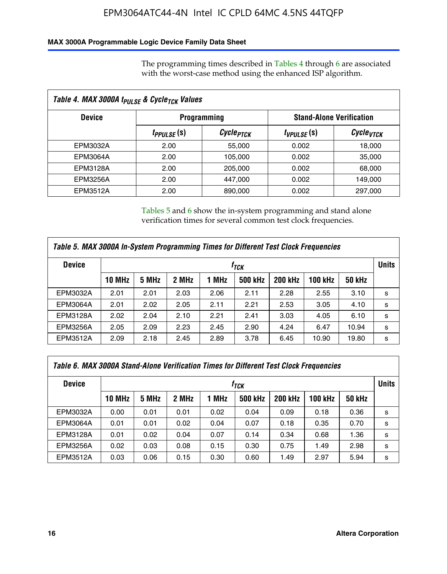#### **MAX 3000A Programmable Logic Device Family Data Sheet**

The programming times described in Tables 4 through 6 are associated with the worst-case method using the enhanced ISP algorithm.

| Table 4. MAX 3000A t <sub>PULSE</sub> & Cycle <sub>TCK</sub> Values |                               |                       |                 |                                 |  |  |
|---------------------------------------------------------------------|-------------------------------|-----------------------|-----------------|---------------------------------|--|--|
| <b>Device</b>                                                       |                               | <b>Programming</b>    |                 | <b>Stand-Alone Verification</b> |  |  |
|                                                                     | <i>t<sub>PPULSE</sub></i> (s) | Cycle <sub>PTCK</sub> | $t_{VPULSE}(s)$ | Cycle <sub>vTCK</sub>           |  |  |
| EPM3032A                                                            | 2.00                          | 55,000                | 0.002           | 18,000                          |  |  |
| EPM3064A                                                            | 2.00                          | 105,000               | 0.002           | 35,000                          |  |  |
| EPM3128A                                                            | 2.00                          | 205,000               | 0.002           | 68,000                          |  |  |
| EPM3256A                                                            | 2.00                          | 447.000               | 0.002           | 149,000                         |  |  |
| <b>EPM3512A</b>                                                     | 2.00                          | 890,000               | 0.002           | 297,000                         |  |  |

Tables 5 and 6 show the in-system programming and stand alone verification times for several common test clock frequencies.

| Table 5. MAX 3000A In-System Programming Times for Different Test Clock Frequencies |                    |       |       |       |                |                |              |               |   |
|-------------------------------------------------------------------------------------|--------------------|-------|-------|-------|----------------|----------------|--------------|---------------|---|
| <b>Device</b>                                                                       | $t_{\textit{TCK}}$ |       |       |       |                |                | <b>Units</b> |               |   |
|                                                                                     | <b>10 MHz</b>      | 5 MHz | 2 MHz | 1 MHz | <b>500 kHz</b> | <b>200 kHz</b> | 100 kHz      | <b>50 kHz</b> |   |
| EPM3032A                                                                            | 2.01               | 2.01  | 2.03  | 2.06  | 2.11           | 2.28           | 2.55         | 3.10          | s |
| <b>EPM3064A</b>                                                                     | 2.01               | 2.02  | 2.05  | 2.11  | 2.21           | 2.53           | 3.05         | 4.10          | s |
| <b>EPM3128A</b>                                                                     | 2.02               | 2.04  | 2.10  | 2.21  | 2.41           | 3.03           | 4.05         | 6.10          | s |
| EPM3256A                                                                            | 2.05               | 2.09  | 2.23  | 2.45  | 2.90           | 4.24           | 6.47         | 10.94         | s |
| EPM3512A                                                                            | 2.09               | 2.18  | 2.45  | 2.89  | 3.78           | 6.45           | 10.90        | 19.80         | s |

| Table 6. MAX 3000A Stand-Alone Verification Times for Different Test Clock Frequencies |               |       |       |       |                |                |                |               |              |
|----------------------------------------------------------------------------------------|---------------|-------|-------|-------|----------------|----------------|----------------|---------------|--------------|
| <b>Device</b>                                                                          |               |       |       |       | $f_{TCK}$      |                |                |               | <b>Units</b> |
|                                                                                        | <b>10 MHz</b> | 5 MHz | 2 MHz | 1 MHz | <b>500 kHz</b> | <b>200 kHz</b> | <b>100 kHz</b> | <b>50 kHz</b> |              |
| EPM3032A                                                                               | 0.00          | 0.01  | 0.01  | 0.02  | 0.04           | 0.09           | 0.18           | 0.36          | s            |
| <b>EPM3064A</b>                                                                        | 0.01          | 0.01  | 0.02  | 0.04  | 0.07           | 0.18           | 0.35           | 0.70          | s            |
| EPM3128A                                                                               | 0.01          | 0.02  | 0.04  | 0.07  | 0.14           | 0.34           | 0.68           | 1.36          | s            |
| <b>EPM3256A</b>                                                                        | 0.02          | 0.03  | 0.08  | 0.15  | 0.30           | 0.75           | 1.49           | 2.98          | s            |
| EPM3512A                                                                               | 0.03          | 0.06  | 0.15  | 0.30  | 0.60           | 1.49           | 2.97           | 5.94          | s            |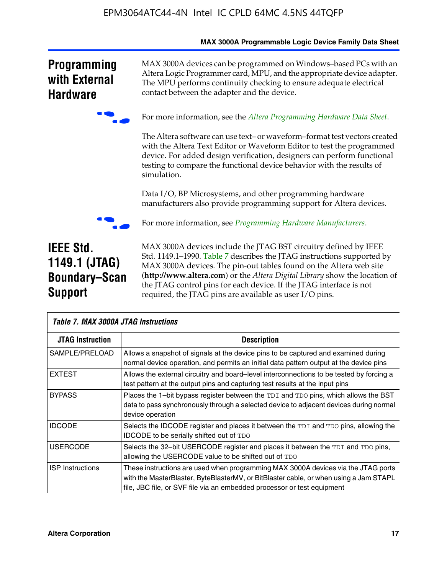|                                                                             | <b>MAX SUUJA Programmable Logic Device Family Data Sheet</b>                                                                                                                                                                                                                                                                                                                                                                     |
|-----------------------------------------------------------------------------|----------------------------------------------------------------------------------------------------------------------------------------------------------------------------------------------------------------------------------------------------------------------------------------------------------------------------------------------------------------------------------------------------------------------------------|
| <b>Programming</b><br>with External<br><b>Hardware</b>                      | MAX 3000A devices can be programmed on Windows-based PCs with an<br>Altera Logic Programmer card, MPU, and the appropriate device adapter.<br>The MPU performs continuity checking to ensure adequate electrical<br>contact between the adapter and the device.                                                                                                                                                                  |
|                                                                             | For more information, see the Altera Programming Hardware Data Sheet.                                                                                                                                                                                                                                                                                                                                                            |
|                                                                             | The Altera software can use text- or waveform-format test vectors created<br>with the Altera Text Editor or Waveform Editor to test the programmed<br>device. For added design verification, designers can perform functional<br>testing to compare the functional device behavior with the results of<br>simulation.                                                                                                            |
|                                                                             | Data I/O, BP Microsystems, and other programming hardware<br>manufacturers also provide programming support for Altera devices.                                                                                                                                                                                                                                                                                                  |
|                                                                             | For more information, see Programming Hardware Manufacturers.                                                                                                                                                                                                                                                                                                                                                                    |
| <b>IEEE Std.</b><br>1149.1 (JTAG)<br><b>Boundary-Scan</b><br><b>Support</b> | MAX 3000A devices include the JTAG BST circuitry defined by IEEE<br>Std. 1149.1-1990. Table 7 describes the JTAG instructions supported by<br>MAX 3000A devices. The pin-out tables found on the Altera web site<br>(http://www.altera.com) or the Altera Digital Library show the location of<br>the JTAG control pins for each device. If the JTAG interface is not<br>required, the JTAG pins are available as user I/O pins. |

| <b>Table 7. MAX 3000A JTAG Instructions</b> |                                                                                                                                                                                                                                                       |  |  |  |  |  |  |
|---------------------------------------------|-------------------------------------------------------------------------------------------------------------------------------------------------------------------------------------------------------------------------------------------------------|--|--|--|--|--|--|
| <b>JTAG Instruction</b>                     | <b>Description</b>                                                                                                                                                                                                                                    |  |  |  |  |  |  |
| SAMPLE/PRELOAD                              | Allows a snapshot of signals at the device pins to be captured and examined during<br>normal device operation, and permits an initial data pattern output at the device pins                                                                          |  |  |  |  |  |  |
| <b>EXTEST</b>                               | Allows the external circuitry and board–level interconnections to be tested by forcing a<br>test pattern at the output pins and capturing test results at the input pins                                                                              |  |  |  |  |  |  |
| <b>BYPASS</b>                               | Places the 1-bit bypass register between the TDI and TDO pins, which allows the BST<br>data to pass synchronously through a selected device to adjacent devices during normal<br>device operation                                                     |  |  |  |  |  |  |
| <b>IDCODE</b>                               | Selects the IDCODE register and places it between the TDI and TDO pins, allowing the<br><b>IDCODE</b> to be serially shifted out of TDO                                                                                                               |  |  |  |  |  |  |
| <b>USERCODE</b>                             | Selects the 32-bit USERCODE register and places it between the TDI and TDO pins,<br>allowing the USERCODE value to be shifted out of TDO                                                                                                              |  |  |  |  |  |  |
| <b>ISP Instructions</b>                     | These instructions are used when programming MAX 3000A devices via the JTAG ports<br>with the MasterBlaster, ByteBlasterMV, or BitBlaster cable, or when using a Jam STAPL<br>file, JBC file, or SVF file via an embedded processor or test equipment |  |  |  |  |  |  |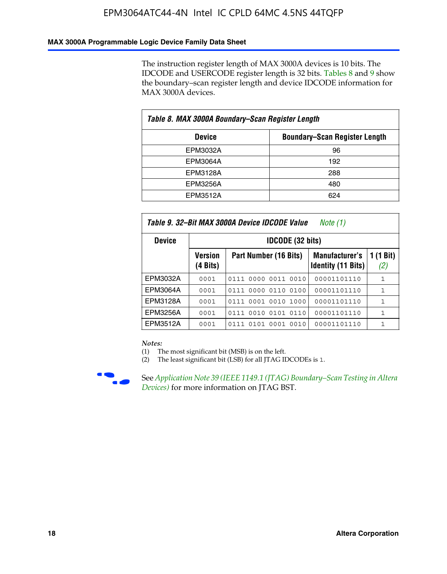#### **MAX 3000A Programmable Logic Device Family Data Sheet**

The instruction register length of MAX 3000A devices is 10 bits. The IDCODE and USERCODE register length is 32 bits. Tables 8 and 9 show the boundary–scan register length and device IDCODE information for MAX 3000A devices.

| Table 8. MAX 3000A Boundary–Scan Register Length      |     |  |  |  |  |  |  |
|-------------------------------------------------------|-----|--|--|--|--|--|--|
| <b>Boundary-Scan Register Length</b><br><b>Device</b> |     |  |  |  |  |  |  |
| EPM3032A                                              | 96  |  |  |  |  |  |  |
| EPM3064A                                              | 192 |  |  |  |  |  |  |
| EPM3128A                                              | 288 |  |  |  |  |  |  |
| EPM3256A                                              | 480 |  |  |  |  |  |  |
| EPM3512A                                              | 624 |  |  |  |  |  |  |

| Table 9. 32–Bit MAX 3000A Device IDCODE Value<br>Note (1) |                            |                                                                                                 |             |   |  |  |  |  |  |  |
|-----------------------------------------------------------|----------------------------|-------------------------------------------------------------------------------------------------|-------------|---|--|--|--|--|--|--|
| <b>Device</b>                                             |                            | <b>IDCODE (32 bits)</b>                                                                         |             |   |  |  |  |  |  |  |
|                                                           | <b>Version</b><br>(4 Bits) | 1 (1 Bit)<br>Part Number (16 Bits)<br><b>Manufacturer's</b><br><b>Identity (11 Bits)</b><br>(2) |             |   |  |  |  |  |  |  |
| EPM3032A                                                  | 0001                       | 0111 0000 0011 0010                                                                             | 00001101110 | 1 |  |  |  |  |  |  |
| <b>EPM3064A</b>                                           | 0001                       | 0111 0000 0110 0100                                                                             | 00001101110 | 1 |  |  |  |  |  |  |
| EPM3128A                                                  | 0001                       | 0111 0001 0010 1000                                                                             | 00001101110 | 1 |  |  |  |  |  |  |
| EPM3256A                                                  | 0001                       | 0010 0101 0110<br>0111                                                                          | 00001101110 | 1 |  |  |  |  |  |  |
| EPM3512A                                                  | 0001                       | 0001<br>0101<br>0010<br>0111                                                                    | 00001101110 | 1 |  |  |  |  |  |  |

#### *Notes:*

(1) The most significant bit (MSB) is on the left.

(2) The least significant bit (LSB) for all JTAG IDCODEs is 1.



**F See Application Note 39 (IEEE 1149.1 (JTAG) Boundary–Scan Testing in Altera** *Devices)* for more information on JTAG BST.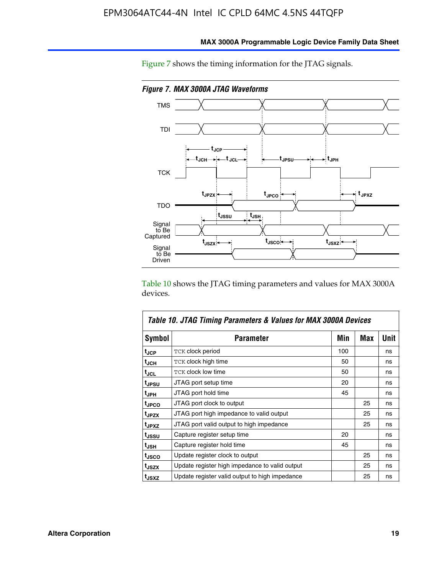

**MAX 3000A Programmable Logic Device Family Data Sheet**

Figure 7 shows the timing information for the JTAG signals.

Table 10 shows the JTAG timing parameters and values for MAX 3000A devices.

|                   | Table 10. JTAG Timing Parameters & Values for MAX 3000A Devices |     |     |      |
|-------------------|-----------------------------------------------------------------|-----|-----|------|
| <b>Symbol</b>     | <b>Parameter</b>                                                | Min | Max | Unit |
| t <sub>JCP</sub>  | TCK clock period                                                | 100 |     | ns   |
| t <sub>JCH</sub>  | TCK clock high time                                             | 50  |     | ns   |
| t <sub>JCL</sub>  | <b>TCK clock low time</b>                                       | 50  |     | ns   |
| t <sub>JPSU</sub> | JTAG port setup time                                            | 20  |     | ns   |
| t <sub>JPH</sub>  | JTAG port hold time                                             | 45  |     | ns   |
| <sup>t</sup> JPCO | JTAG port clock to output                                       |     | 25  | ns   |
| t <sub>JPZX</sub> | JTAG port high impedance to valid output                        |     | 25  | ns   |
| t <sub>JPXZ</sub> | JTAG port valid output to high impedance                        |     | 25  | ns   |
| tussu             | Capture register setup time                                     | 20  |     | ns   |
| t <sub>JSH</sub>  | Capture register hold time                                      | 45  |     | ns   |
| t <sub>JSCO</sub> | Update register clock to output                                 |     | 25  | ns   |
| t <sub>JSZX</sub> | Update register high impedance to valid output                  |     | 25  | ns   |
| t <sub>JSXZ</sub> | Update register valid output to high impedance                  |     | 25  | ns   |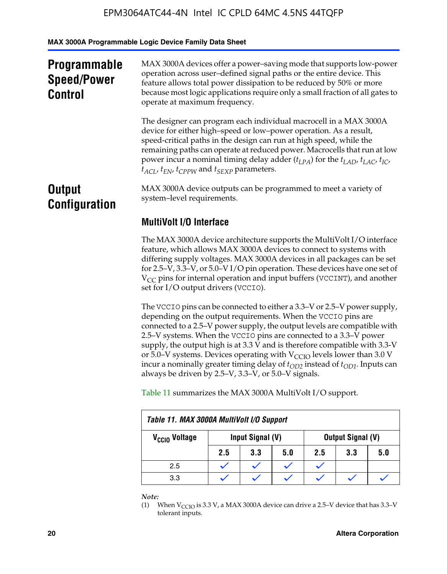**MAX 3000A Programmable Logic Device Family Data Sheet**

| <b>Programmable</b><br><b>Speed/Power</b><br><b>Control</b> | MAX 3000A devices offer a power-saving mode that supports low-power<br>operation across user-defined signal paths or the entire device. This<br>feature allows total power dissipation to be reduced by 50% or more<br>because most logic applications require only a small fraction of all gates to<br>operate at maximum frequency.                                                                                                                        |
|-------------------------------------------------------------|--------------------------------------------------------------------------------------------------------------------------------------------------------------------------------------------------------------------------------------------------------------------------------------------------------------------------------------------------------------------------------------------------------------------------------------------------------------|
|                                                             | The designer can program each individual macrocell in a MAX 3000A<br>device for either high-speed or low-power operation. As a result,<br>speed-critical paths in the design can run at high speed, while the<br>remaining paths can operate at reduced power. Macrocells that run at low<br>power incur a nominal timing delay adder $(t_{LPA})$ for the $t_{LAD}$ , $t_{LAC}$ , $t_{IC}$ ,<br>$t_{ACL}$ , $t_{EN}$ , $t_{CPPW}$ and $t_{SEXP}$ parameters. |
| <b>Output</b><br><b>Configuration</b>                       | MAX 3000A device outputs can be programmed to meet a variety of<br>system-level requirements.                                                                                                                                                                                                                                                                                                                                                                |
|                                                             | <b>MultiVolt I/O Interface</b>                                                                                                                                                                                                                                                                                                                                                                                                                               |
|                                                             | The MAX 3000A device architecture supports the MultiVolt I/O interface<br>fortune which allows MAY 2000A dovices to connect to systems with                                                                                                                                                                                                                                                                                                                  |

feature, which allows MAX 3000A devices to connect to systems with differing supply voltages. MAX 3000A devices in all packages can be set for 2.5–V, 3.3–V, or 5.0–V I/O pin operation. These devices have one set of  $V_{CC}$  pins for internal operation and input buffers (VCCINT), and another set for I/O output drivers (VCCIO).

The VCCIO pins can be connected to either a 3.3–V or 2.5–V power supply, depending on the output requirements. When the VCCIO pins are connected to a 2.5–V power supply, the output levels are compatible with 2.5–V systems. When the VCCIO pins are connected to a 3.3–V power supply, the output high is at 3.3  $\bar{V}$  and is therefore compatible with 3.3-V or 5.0–V systems. Devices operating with  $V_{CCIO}$  levels lower than 3.0 V incur a nominally greater timing delay of  $t_{OD2}$  instead of  $t_{OD1}$ . Inputs can always be driven by 2.5–V, 3.3–V, or 5.0–V signals.

Table 11 summarizes the MAX 3000A MultiVolt I/O support.

| Table 11. MAX 3000A MultiVolt I/O Support |                                       |     |     |     |     |     |  |  |
|-------------------------------------------|---------------------------------------|-----|-----|-----|-----|-----|--|--|
| V <sub>CCIO</sub> Voltage                 | Input Signal (V)<br>Output Signal (V) |     |     |     |     |     |  |  |
|                                           | 2.5                                   | 3.3 | 5.0 | 2.5 | 3.3 | 5.0 |  |  |
| 2.5                                       |                                       |     |     |     |     |     |  |  |
| 3.3                                       |                                       |     |     |     |     |     |  |  |

*Note:*

<sup>(1)</sup> When  $V_{\text{CCIO}}$  is 3.3 V, a MAX 3000A device can drive a 2.5–V device that has 3.3–V tolerant inputs.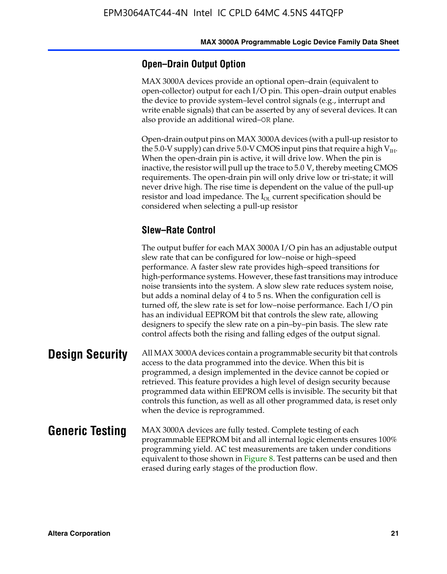#### **Open–Drain Output Option**

MAX 3000A devices provide an optional open–drain (equivalent to open-collector) output for each I/O pin. This open–drain output enables the device to provide system–level control signals (e.g., interrupt and write enable signals) that can be asserted by any of several devices. It can also provide an additional wired–OR plane.

Open-drain output pins on MAX 3000A devices (with a pull-up resistor to the 5.0-V supply) can drive 5.0-V CMOS input pins that require a high  $V_{\text{H}_{\text{H}}}$ . When the open-drain pin is active, it will drive low. When the pin is inactive, the resistor will pull up the trace to 5.0 V, thereby meeting CMOS requirements. The open-drain pin will only drive low or tri-state; it will never drive high. The rise time is dependent on the value of the pull-up resistor and load impedance. The  $I_{OL}$  current specification should be considered when selecting a pull-up resistor

### **Slew–Rate Control**

The output buffer for each MAX 3000A I/O pin has an adjustable output slew rate that can be configured for low–noise or high–speed performance. A faster slew rate provides high–speed transitions for high-performance systems. However, these fast transitions may introduce noise transients into the system. A slow slew rate reduces system noise, but adds a nominal delay of 4 to 5 ns. When the configuration cell is turned off, the slew rate is set for low–noise performance. Each I/O pin has an individual EEPROM bit that controls the slew rate, allowing designers to specify the slew rate on a pin–by–pin basis. The slew rate control affects both the rising and falling edges of the output signal.

**Design Security** All MAX 3000A devices contain a programmable security bit that controls access to the data programmed into the device. When this bit is programmed, a design implemented in the device cannot be copied or retrieved. This feature provides a high level of design security because programmed data within EEPROM cells is invisible. The security bit that controls this function, as well as all other programmed data, is reset only when the device is reprogrammed.

#### **Generic Testing** MAX 3000A devices are fully tested. Complete testing of each programmable EEPROM bit and all internal logic elements ensures 100% programming yield. AC test measurements are taken under conditions equivalent to those shown in Figure 8. Test patterns can be used and then erased during early stages of the production flow.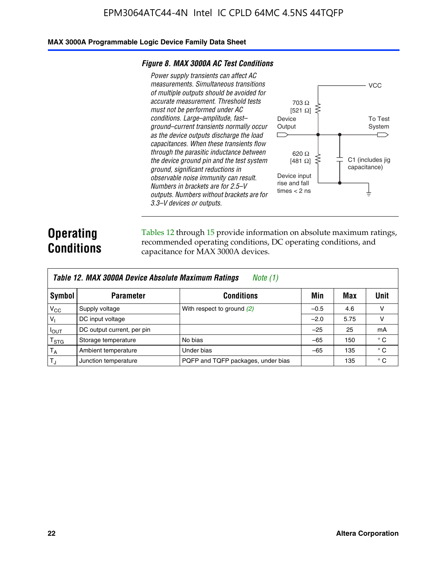#### **MAX 3000A Programmable Logic Device Family Data Sheet**

#### *Figure 8. MAX 3000A AC Test Conditions*

*Power supply transients can affect AC measurements. Simultaneous transitions of multiple outputs should be avoided for accurate measurement. Threshold tests must not be performed under AC conditions. Large–amplitude, fast– ground–current transients normally occur as the device outputs discharge the load capacitances. When these transients flow through the parasitic inductance between the device ground pin and the test system ground, significant reductions in observable noise immunity can result. Numbers in brackets are for 2.5–V outputs. Numbers without brackets are for 3.3–V devices or outputs.*



## **Operating Conditions**

Tables 12 through 15 provide information on absolute maximum ratings, recommended operating conditions, DC operating conditions, and capacitance for MAX 3000A devices.

|                | Table 12. MAX 3000A Device Absolute Maximum Ratings<br>Note (1) |                                    |        |      |              |  |  |  |
|----------------|-----------------------------------------------------------------|------------------------------------|--------|------|--------------|--|--|--|
| Symbol         | <b>Parameter</b>                                                | <b>Conditions</b>                  | Min    | Max  | Unit         |  |  |  |
| $V_{CC}$       | Supply voltage                                                  | With respect to ground (2)         | $-0.5$ | 4.6  | v            |  |  |  |
| V <sub>1</sub> | DC input voltage                                                |                                    | $-2.0$ | 5.75 | v            |  |  |  |
| $I_{OUT}$      | DC output current, per pin                                      |                                    | $-25$  | 25   | mA           |  |  |  |
| $T_{\rm STG}$  | Storage temperature                                             | No bias                            | $-65$  | 150  | $^{\circ}$ C |  |  |  |
| $T_A$          | Ambient temperature                                             | Under bias                         | $-65$  | 135  | $^{\circ}$ C |  |  |  |
| $T_{\rm J}$    | Junction temperature                                            | PQFP and TQFP packages, under bias |        | 135  | $^{\circ}$ C |  |  |  |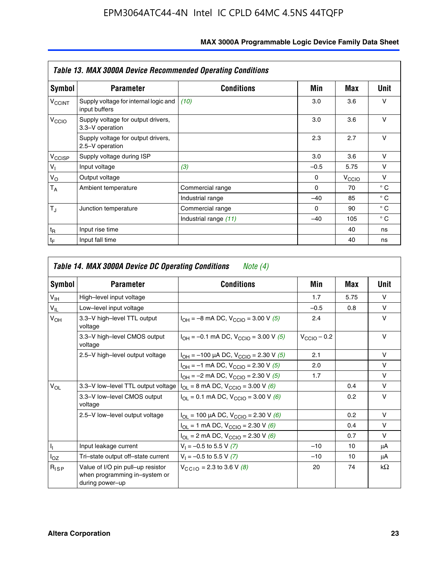|                    | <b>Table 13. MAX 3000A Device Recommended Operating Conditions</b> |                       |          |                   |              |  |  |  |
|--------------------|--------------------------------------------------------------------|-----------------------|----------|-------------------|--------------|--|--|--|
| Symbol             | <b>Parameter</b>                                                   | <b>Conditions</b>     | Min      | Max               | Unit         |  |  |  |
| V <sub>CCINT</sub> | Supply voltage for internal logic and<br>input buffers             | (10)                  | 3.0      | 3.6               | $\vee$       |  |  |  |
| V <sub>CCIO</sub>  | Supply voltage for output drivers,<br>3.3-V operation              |                       | 3.0      | 3.6               | $\vee$       |  |  |  |
|                    | Supply voltage for output drivers,<br>2.5-V operation              |                       | 2.3      | 2.7               | $\vee$       |  |  |  |
| V <sub>CCISP</sub> | Supply voltage during ISP                                          |                       | 3.0      | 3.6               | $\vee$       |  |  |  |
| $V_{\parallel}$    | Input voltage                                                      | (3)                   | $-0.5$   | 5.75              | $\vee$       |  |  |  |
| $V_{\rm O}$        | Output voltage                                                     |                       | $\Omega$ | V <sub>CCIO</sub> | v            |  |  |  |
| $T_A$              | Ambient temperature                                                | Commercial range      | $\Omega$ | 70                | $^{\circ}$ C |  |  |  |
|                    |                                                                    | Industrial range      | $-40$    | 85                | $^{\circ}$ C |  |  |  |
| $T_{\rm J}$        | Junction temperature                                               | Commercial range      | $\Omega$ | 90                | $^{\circ}$ C |  |  |  |
|                    |                                                                    | Industrial range (11) | $-40$    | 105               | $^{\circ}$ C |  |  |  |
| $t_{\mathsf{R}}$   | Input rise time                                                    |                       |          | 40                | ns           |  |  |  |
| $t_{\mathsf{F}}$   | Input fall time                                                    |                       |          | 40                | ns           |  |  |  |

| Symbol          | <b>Parameter</b>                                                                      | <b>Conditions</b>                                  | Min                     | Max  | Unit      |
|-----------------|---------------------------------------------------------------------------------------|----------------------------------------------------|-------------------------|------|-----------|
| V <sub>IH</sub> | High-level input voltage                                                              |                                                    | 1.7                     | 5.75 | $\vee$    |
| $V_{IL}$        | Low-level input voltage                                                               |                                                    | $-0.5$                  | 0.8  | v         |
| $V_{OH}$        | 3.3-V high-level TTL output<br>voltage                                                | $I_{OH} = -8$ mA DC, $V_{CClO} = 3.00$ V (5)       | 2.4                     |      | v         |
|                 | 3.3-V high-level CMOS output<br>voltage                                               | $I_{OH} = -0.1$ mA DC, $V_{CCIO} = 3.00$ V (5)     | $V_{\text{CCIO}} - 0.2$ |      | v         |
|                 | 2.5-V high-level output voltage<br>$I_{OH} = -100 \mu A DC$ , $V_{CCIO} = 2.30 V (5)$ |                                                    | 2.1                     |      | v         |
|                 |                                                                                       | $I_{OH} = -1$ mA DC, $V_{CGIO} = 2.30$ V (5)       | 2.0                     |      | $\vee$    |
|                 |                                                                                       | $I_{OH} = -2$ mA DC, $V_{CGIO} = 2.30$ V (5)       | 1.7                     |      | v         |
| $V_{OL}$        | 3.3–V low–level TTL output voltage $ I_{OL} = 8$ mA DC, $V_{CCIO} = 3.00$ V (6)       |                                                    |                         | 0.4  | $\vee$    |
|                 | 3.3-V low-level CMOS output<br>voltage                                                | $I_{OL}$ = 0.1 mA DC, $V_{CClO}$ = 3.00 V (6)      |                         | 0.2  | $\vee$    |
|                 | 2.5-V low-level output voltage                                                        | $I_{OL}$ = 100 µA DC, $V_{CCIO}$ = 2.30 V (6)      |                         | 0.2  | v         |
|                 |                                                                                       | $I_{OL}$ = 1 mA DC, V <sub>CCIO</sub> = 2.30 V (6) |                         | 0.4  | v         |
|                 |                                                                                       | $I_{OL}$ = 2 mA DC, $V_{CCIO}$ = 2.30 V (6)        |                         | 0.7  | $\vee$    |
| h.              | Input leakage current                                                                 | $V_1 = -0.5$ to 5.5 V (7)                          | $-10$                   | 10   | μA        |
| $I_{OZ}$        | Tri-state output off-state current                                                    | $V_1 = -0.5$ to 5.5 V (7)                          | $-10$                   | 10   | μA        |
| $R_{lSP}$       | Value of I/O pin pull-up resistor<br>when programming in-system or<br>during power-up | $V_{CCD}$ = 2.3 to 3.6 V (8)                       | 20                      | 74   | $k\Omega$ |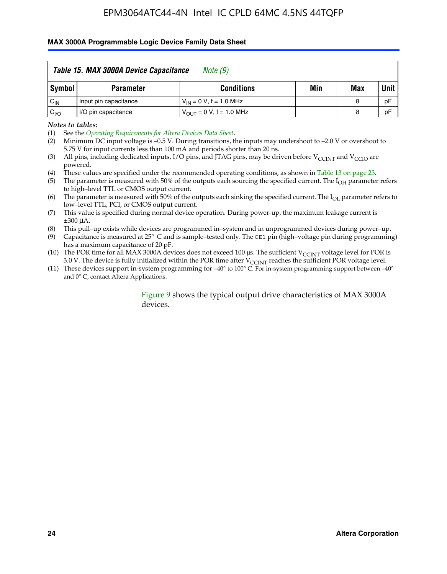#### **MAX 3000A Programmable Logic Device Family Data Sheet**

|          | Table 15. MAX 3000A Device Capacitance<br>Note (9) |                               |     |     |             |  |  |
|----------|----------------------------------------------------|-------------------------------|-----|-----|-------------|--|--|
| Symbol   | <b>Parameter</b>                                   | <b>Conditions</b>             | Min | Max | <b>Unit</b> |  |  |
| $C_{IN}$ | Input pin capacitance                              | $V_{IN} = 0 V$ , f = 1.0 MHz  |     | 8   | pF          |  |  |
| $C_{VO}$ | I/O pin capacitance                                | $V_{OUT} = 0 V$ , f = 1.0 MHz |     | 8   | pF          |  |  |

*Notes to tables:*

(2) Minimum DC input voltage is –0.5 V. During transitions, the inputs may undershoot to –2.0 V or overshoot to 5.75 V for input currents less than 100 mA and periods shorter than 20 ns.

(4) These values are specified under the recommended operating conditions, as shown in Table 13 on page 23.

(5) The parameter is measured with 50% of the outputs each sourcing the specified current. The  $I<sub>OH</sub>$  parameter refers to high–level TTL or CMOS output current.

- (6) The parameter is measured with 50% of the outputs each sinking the specified current. The  $I_{OL}$  parameter refers to low–level TTL, PCI, or CMOS output current.
- (7) This value is specified during normal device operation. During power-up, the maximum leakage current is ±300 μA.

(8) This pull–up exists while devices are programmed in–system and in unprogrammed devices during power–up.

- (9) Capacitance is measured at 25° C and is sample–tested only. The OE1 pin (high–voltage pin during programming) has a maximum capacitance of 20 pF.
- (10) The POR time for all MAX 3000A devices does not exceed 100  $\mu$ s. The sufficient V<sub>CCINT</sub> voltage level for POR is 3.0 V. The device is fully initialized within the POR time after  $V_{\text{CCINT}}$  reaches the sufficient POR voltage level.
- (11) These devices support in-system programming for –40° to 100° C. For in-system programming support between –40° and 0° C, contact Altera Applications.

#### Figure 9 shows the typical output drive characteristics of MAX 3000A devices.

<sup>(1)</sup> See the *Operating Requirements for Altera Devices Data Sheet*.

<sup>(3)</sup> All pins, including dedicated inputs, I/O pins, and JTAG pins, may be driven before  $V_{\text{CCINT}}$  and  $V_{\text{CCIO}}$  are powered.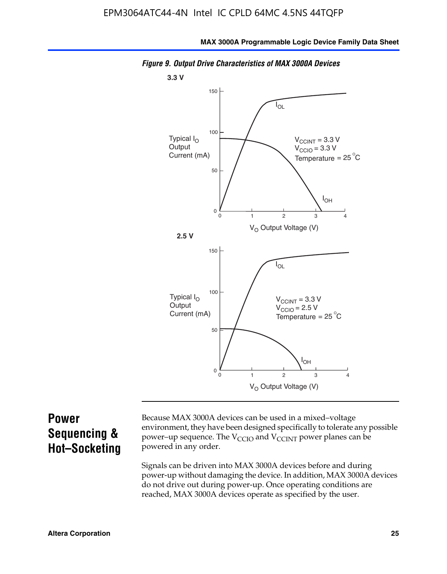

*Figure 9. Output Drive Characteristics of MAX 3000A Devices*

## **Power Sequencing & Hot–Socketing**

Because MAX 3000A devices can be used in a mixed–voltage environment, they have been designed specifically to tolerate any possible power–up sequence. The  $V_{CCIO}$  and  $V_{CCINT}$  power planes can be powered in any order.

Signals can be driven into MAX 3000A devices before and during power-up without damaging the device. In addition, MAX 3000A devices do not drive out during power-up. Once operating conditions are reached, MAX 3000A devices operate as specified by the user.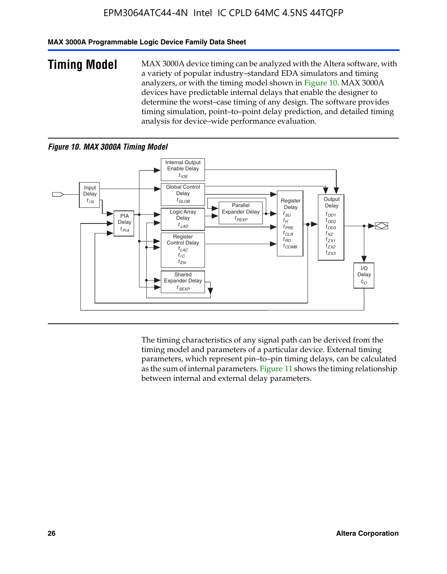#### **MAX 3000A Programmable Logic Device Family Data Sheet**

**Timing Model** MAX 3000A device timing can be analyzed with the Altera software, with a variety of popular industry–standard EDA simulators and timing analyzers, or with the timing model shown in Figure 10. MAX 3000A devices have predictable internal delays that enable the designer to determine the worst–case timing of any design. The software provides timing simulation, point–to–point delay prediction, and detailed timing analysis for device–wide performance evaluation.

#### *Figure 10. MAX 3000A Timing Model*



The timing characteristics of any signal path can be derived from the timing model and parameters of a particular device. External timing parameters, which represent pin–to–pin timing delays, can be calculated as the sum of internal parameters. Figure 11 shows the timing relationship between internal and external delay parameters.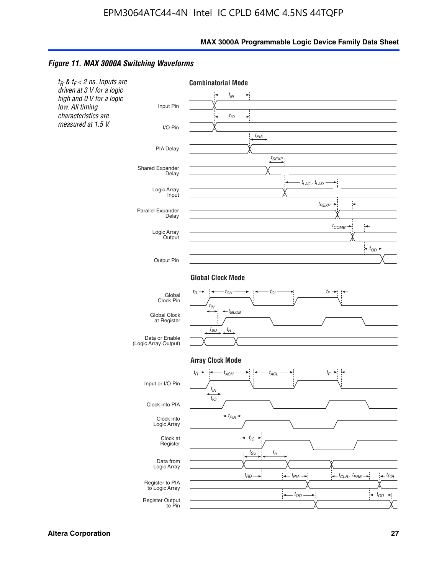#### *Figure 11. MAX 3000A Switching Waveforms*

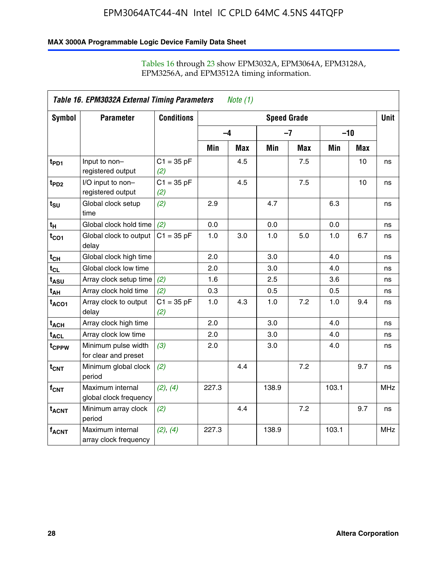#### **MAX 3000A Programmable Logic Device Family Data Sheet**

|                             | Table 16. EPM3032A External Timing Parameters<br><i>Note</i> $(1)$ |                     |                    |     |       |            |       |            |            |
|-----------------------------|--------------------------------------------------------------------|---------------------|--------------------|-----|-------|------------|-------|------------|------------|
| Symbol                      | <b>Parameter</b>                                                   | <b>Conditions</b>   | <b>Speed Grade</b> |     |       |            |       |            |            |
|                             |                                                                    |                     | $-4$               |     |       | $-7$       | $-10$ |            |            |
|                             |                                                                    |                     | Min                | Max | Min   | <b>Max</b> | Min   | <b>Max</b> |            |
| t <sub>PD1</sub>            | Input to non-<br>registered output                                 | $C1 = 35 pF$<br>(2) |                    | 4.5 |       | 7.5        |       | 10         | ns         |
| t <sub>PD2</sub>            | I/O input to non-<br>registered output                             | $C1 = 35 pF$<br>(2) |                    | 4.5 |       | 7.5        |       | 10         | ns         |
| $t_{\text{SU}}$             | Global clock setup<br>time                                         | (2)                 | 2.9                |     | 4.7   |            | 6.3   |            | ns         |
| $t_H$                       | Global clock hold time                                             | (2)                 | 0.0                |     | 0.0   |            | 0.0   |            | ns         |
| $t_{CO1}$                   | Global clock to output<br>delay                                    | $C1 = 35 pF$        | 1.0                | 3.0 | 1.0   | 5.0        | 1.0   | 6.7        | ns         |
| $t_{CH}$                    | Global clock high time                                             |                     | 2.0                |     | 3.0   |            | 4.0   |            | ns         |
| $t_{CL}$                    | Global clock low time                                              |                     | 2.0                |     | 3.0   |            | 4.0   |            | ns         |
| t <sub>ASU</sub>            | Array clock setup time                                             | (2)                 | 1.6                |     | 2.5   |            | 3.6   |            | ns         |
| t <sub>АН</sub>             | Array clock hold time                                              | (2)                 | 0.3                |     | 0.5   |            | 0.5   |            | ns         |
| $t_{ACO1}$                  | Array clock to output<br>delay                                     | $C1 = 35 pF$<br>(2) | 1.0                | 4.3 | 1.0   | 7.2        | 1.0   | 9.4        | ns         |
| t <sub>ACH</sub>            | Array clock high time                                              |                     | 2.0                |     | 3.0   |            | 4.0   |            | ns         |
| $\textsf{t}_{\mathsf{ACL}}$ | Array clock low time                                               |                     | 2.0                |     | 3.0   |            | 4.0   |            | ns         |
| t <sub>CPPW</sub>           | Minimum pulse width<br>for clear and preset                        | (3)                 | 2.0                |     | 3.0   |            | 4.0   |            | ns         |
| $t_{\text{CNT}}$            | Minimum global clock<br>period                                     | (2)                 |                    | 4.4 |       | 7.2        |       | 9.7        | ns         |
| $f_{CNT}$                   | Maximum internal<br>global clock frequency                         | (2), (4)            | 227.3              |     | 138.9 |            | 103.1 |            | <b>MHz</b> |
| $t_{ACNT}$                  | Minimum array clock<br>period                                      | (2)                 |                    | 4.4 |       | 7.2        |       | 9.7        | ns         |
| $f_{ACNT}$                  | Maximum internal<br>array clock frequency                          | (2), (4)            | 227.3              |     | 138.9 |            | 103.1 |            | <b>MHz</b> |

## Tables 16 through 23 show EPM3032A, EPM3064A, EPM3128A, EPM3256A, and EPM3512A timing information.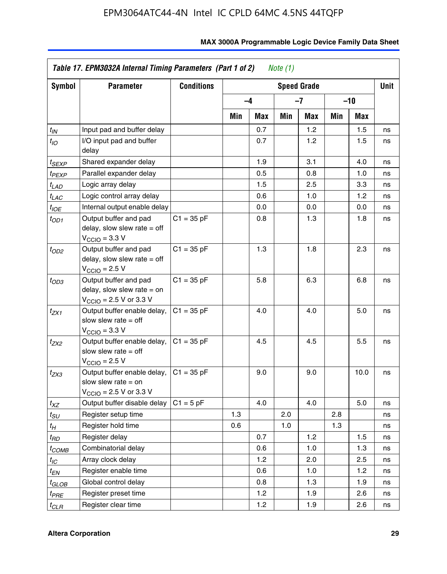| Symbol            | <b>Parameter</b>                                                                                            | <b>Conditions</b> | <b>Speed Grade</b> |      |     |     |     |      | Unit |
|-------------------|-------------------------------------------------------------------------------------------------------------|-------------------|--------------------|------|-----|-----|-----|------|------|
|                   |                                                                                                             |                   |                    | $-4$ | -7  |     | -10 |      |      |
|                   |                                                                                                             |                   | Min                | Max  | Min | Max | Min | Max  |      |
| $t_{IN}$          | Input pad and buffer delay                                                                                  |                   |                    | 0.7  |     | 1.2 |     | 1.5  | ns   |
| $t_{IO}$          | I/O input pad and buffer<br>delay                                                                           |                   |                    | 0.7  |     | 1.2 |     | 1.5  | ns   |
| t <sub>SEXP</sub> | Shared expander delay                                                                                       |                   |                    | 1.9  |     | 3.1 |     | 4.0  | ns   |
| t <sub>PEXP</sub> | Parallel expander delay                                                                                     |                   |                    | 0.5  |     | 0.8 |     | 1.0  | ns   |
| $t_{LAD}$         | Logic array delay                                                                                           |                   |                    | 1.5  |     | 2.5 |     | 3.3  | ns   |
| $t_{LAC}$         | Logic control array delay                                                                                   |                   |                    | 0.6  |     | 1.0 |     | 1.2  | ns   |
| $t_{IOE}$         | Internal output enable delay                                                                                |                   |                    | 0.0  |     | 0.0 |     | 0.0  | ns   |
| $t_{OD1}$         | Output buffer and pad<br>delay, slow slew rate $=$ off<br>$V_{\text{CCIO}} = 3.3 \text{ V}$                 | $C1 = 35 pF$      |                    | 0.8  |     | 1.3 |     | 1.8  | ns   |
| $t_{OD2}$         | Output buffer and pad<br>delay, slow slew rate $=$ off<br>$V_{\text{CCIO}} = 2.5 V$                         | $C1 = 35 pF$      |                    | 1.3  |     | 1.8 |     | 2.3  | ns   |
| $t_{OD3}$         | Output buffer and pad<br>delay, slow slew rate $=$ on<br>$V_{\text{CCIO}}$ = 2.5 V or 3.3 V                 | $C1 = 35 pF$      |                    | 5.8  |     | 6.3 |     | 6.8  | ns   |
| t <sub>ZX1</sub>  | Output buffer enable delay,<br>slow slew rate $=$ off<br>$VCCIO = 3.3 V$                                    | $C1 = 35 pF$      |                    | 4.0  |     | 4.0 |     | 5.0  | ns   |
| t <sub>ZX2</sub>  | Output buffer enable delay,<br>slow slew rate $=$ off<br>$V_{\text{CCIO}} = 2.5 V$                          | $C1 = 35 pF$      |                    | 4.5  |     | 4.5 |     | 5.5  | ns   |
| $t_{ZX3}$         | Output buffer enable delay,<br>slow slew rate $=$ on<br>$V_{\text{CCIO}} = 2.5 \text{ V or } 3.3 \text{ V}$ | $C1 = 35 pF$      |                    | 9.0  |     | 9.0 |     | 10.0 | ns   |
| $t_{XZ}$          | Output buffer disable delay                                                                                 | $C1 = 5 pF$       |                    | 4.0  |     | 4.0 |     | 5.0  | ns   |
| t <sub>SU</sub>   | Register setup time                                                                                         |                   | 1.3                |      | 2.0 |     | 2.8 |      | ns   |
| t <sub>Η</sub>    | Register hold time                                                                                          |                   | 0.6                |      | 1.0 |     | 1.3 |      | ns   |
| t <sub>RD</sub>   | Register delay                                                                                              |                   |                    | 0.7  |     | 1.2 |     | 1.5  | ns   |
| t <sub>COMB</sub> | Combinatorial delay                                                                                         |                   |                    | 0.6  |     | 1.0 |     | 1.3  | ns   |
| $t_{IC}$          | Array clock delay                                                                                           |                   |                    | 1.2  |     | 2.0 |     | 2.5  | ns   |
| $t_{EN}$          | Register enable time                                                                                        |                   |                    | 0.6  |     | 1.0 |     | 1.2  | ns   |
| t <sub>GLOB</sub> | Global control delay                                                                                        |                   |                    | 0.8  |     | 1.3 |     | 1.9  | ns   |
| t <sub>PRE</sub>  | Register preset time                                                                                        |                   |                    | 1.2  |     | 1.9 |     | 2.6  | ns   |
| $t_{CLR}$         | Register clear time                                                                                         |                   |                    | 1.2  |     | 1.9 |     | 2.6  | ns   |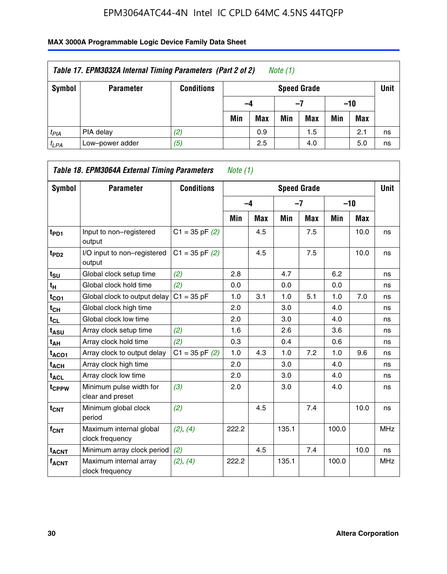| Table 17. EPM3032A Internal Timing Parameters (Part 2 of 2)<br>Note (1) |                  |                   |     |                                   |     |     |       |     |    |  |  |
|-------------------------------------------------------------------------|------------------|-------------------|-----|-----------------------------------|-----|-----|-------|-----|----|--|--|
| Symbol                                                                  | <b>Parameter</b> | <b>Conditions</b> |     | <b>Unit</b><br><b>Speed Grade</b> |     |     |       |     |    |  |  |
|                                                                         |                  |                   | -4  |                                   | -7  |     | $-10$ |     |    |  |  |
|                                                                         |                  |                   | Min | <b>Max</b>                        | Min | Max | Min   | Max |    |  |  |
| $t_{PIA}$                                                               | PIA delay        | (2)               |     | 0.9                               |     | 1.5 |       | 2.1 | ns |  |  |
| $t_{LPA}$                                                               | Low-power adder  | (5)               |     | 2.5                               |     | 4.0 |       | 5.0 | ns |  |  |

| Table 18. EPM3064A External Timing Parameters<br>Note $(1)$ |                                             |                    |       |            |       |                    |       |       |             |  |
|-------------------------------------------------------------|---------------------------------------------|--------------------|-------|------------|-------|--------------------|-------|-------|-------------|--|
| Symbol                                                      | <b>Parameter</b>                            | <b>Conditions</b>  |       |            |       | <b>Speed Grade</b> |       |       | <b>Unit</b> |  |
|                                                             |                                             |                    |       | $-4$       |       | $-7$               |       | $-10$ |             |  |
|                                                             |                                             |                    | Min   | <b>Max</b> | Min   | <b>Max</b>         | Min   | Max   |             |  |
| t <sub>PD1</sub>                                            | Input to non-registered<br>output           | $C1 = 35$ pF $(2)$ |       | 4.5        |       | 7.5                |       | 10.0  | ns          |  |
| t <sub>PD2</sub>                                            | I/O input to non-registered<br>output       | $C1 = 35$ pF $(2)$ |       | 4.5        |       | 7.5                |       | 10.0  | ns          |  |
| $t_{\text{SU}}$                                             | Global clock setup time                     | (2)                | 2.8   |            | 4.7   |                    | 6.2   |       | ns          |  |
| t <sub>H</sub>                                              | Global clock hold time                      | (2)                | 0.0   |            | 0.0   |                    | 0.0   |       | ns          |  |
| $t_{CO1}$                                                   | Global clock to output delay                | $C1 = 35 pF$       | 1.0   | 3.1        | 1.0   | 5.1                | 1.0   | 7.0   | ns          |  |
| $t_{CH}$                                                    | Global clock high time                      |                    | 2.0   |            | 3.0   |                    | 4.0   |       | ns          |  |
| $t_{CL}$                                                    | Global clock low time                       |                    | 2.0   |            | 3.0   |                    | 4.0   |       | ns          |  |
| t <sub>ASU</sub>                                            | Array clock setup time                      | (2)                | 1.6   |            | 2.6   |                    | 3.6   |       | ns          |  |
| $t_{AH}$                                                    | Array clock hold time                       | (2)                | 0.3   |            | 0.4   |                    | 0.6   |       | ns          |  |
| $t_{ACO1}$                                                  | Array clock to output delay                 | $C1 = 35$ pF $(2)$ | 1.0   | 4.3        | 1.0   | 7.2                | 1.0   | 9.6   | ns          |  |
| $t_{ACH}$                                                   | Array clock high time                       |                    | 2.0   |            | 3.0   |                    | 4.0   |       | ns          |  |
| $t_{\sf ACL}$                                               | Array clock low time                        |                    | 2.0   |            | 3.0   |                    | 4.0   |       | ns          |  |
| t <sub>CPPW</sub>                                           | Minimum pulse width for<br>clear and preset | (3)                | 2.0   |            | 3.0   |                    | 4.0   |       | ns          |  |
| $t_{\text{CNT}}$                                            | Minimum global clock<br>period              | (2)                |       | 4.5        |       | 7.4                |       | 10.0  | ns          |  |
| f <sub>CNT</sub>                                            | Maximum internal global<br>clock frequency  | (2), (4)           | 222.2 |            | 135.1 |                    | 100.0 |       | <b>MHz</b>  |  |
| <b>t<sub>ACNT</sub></b>                                     | Minimum array clock period                  | (2)                |       | 4.5        |       | 7.4                |       | 10.0  | ns          |  |
| <b>fACNT</b>                                                | Maximum internal array<br>clock frequency   | (2), (4)           | 222.2 |            | 135.1 |                    | 100.0 |       | <b>MHz</b>  |  |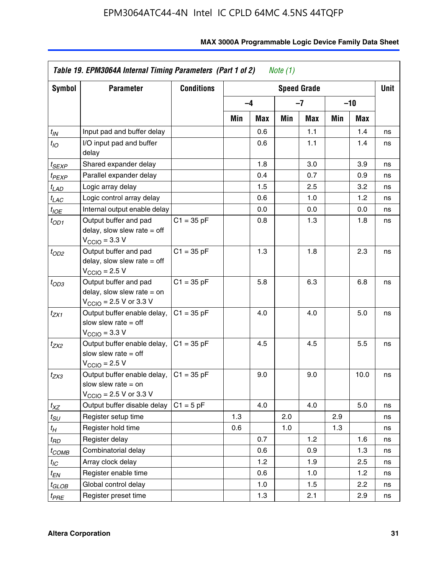| Symbol                | <b>Parameter</b>                                                                                             | <b>Conditions</b> |     |      |     | <b>Speed Grade</b> |     |            | <b>Unit</b> |
|-----------------------|--------------------------------------------------------------------------------------------------------------|-------------------|-----|------|-----|--------------------|-----|------------|-------------|
|                       |                                                                                                              |                   |     | $-4$ |     | $-7$               |     | -10        |             |
|                       |                                                                                                              |                   | Min | Max  | Min | Max                | Min | <b>Max</b> |             |
| $t_{\mathsf{IN}}$     | Input pad and buffer delay                                                                                   |                   |     | 0.6  |     | 1.1                |     | 1.4        | ns          |
| $t_{IO}$              | I/O input pad and buffer<br>delay                                                                            |                   |     | 0.6  |     | 1.1                |     | 1.4        | ns          |
| t <sub>SEXP</sub>     | Shared expander delay                                                                                        |                   |     | 1.8  |     | 3.0                |     | 3.9        | ns          |
| t <sub>PEXP</sub>     | Parallel expander delay                                                                                      |                   |     | 0.4  |     | 0.7                |     | 0.9        | ns          |
| $t_{LAD}$             | Logic array delay                                                                                            |                   |     | 1.5  |     | 2.5                |     | 3.2        | ns          |
| $t_{LAC}$             | Logic control array delay                                                                                    |                   |     | 0.6  |     | 1.0                |     | 1.2        | ns          |
| $t_{IOE}$             | Internal output enable delay                                                                                 |                   |     | 0.0  |     | 0.0                |     | 0.0        | ns          |
| $t_{OD1}$             | Output buffer and pad<br>delay, slow slew rate $=$ off<br>$V_{\text{CCIO}} = 3.3 \text{ V}$                  | $C1 = 35 pF$      |     | 0.8  |     | 1.3                |     | 1.8        | ns          |
| $t_{OD2}$             | Output buffer and pad<br>delay, slow slew rate $=$ off<br>$V_{\rm CClO}$ = 2.5 V                             | $C1 = 35 pF$      |     | 1.3  |     | 1.8                |     | 2.3        | ns          |
| $t_{OD3}$             | Output buffer and pad<br>delay, slow slew rate $=$ on<br>$V_{\text{CGIO}} = 2.5 \text{ V or } 3.3 \text{ V}$ | $C1 = 35 pF$      |     | 5.8  |     | 6.3                |     | 6.8        | ns          |
| $t_{ZX1}$             | Output buffer enable delay,<br>slow slew rate $=$ off<br>$V_{\text{CCIO}} = 3.3 V$                           | $C1 = 35 pF$      |     | 4.0  |     | 4.0                |     | 5.0        | ns          |
| t <sub>ZX2</sub>      | Output buffer enable delay,<br>slow slew rate $=$ off<br>$V_{\rm CClO}$ = 2.5 V                              | $C1 = 35 pF$      |     | 4.5  |     | 4.5                |     | 5.5        | ns          |
| t <sub>ZX3</sub>      | Output buffer enable delay,<br>slow slew rate $=$ on<br>$V_{\text{CCIO}} = 2.5 \text{ V or } 3.3 \text{ V}$  | $C1 = 35 pF$      |     | 9.0  |     | 9.0                |     | 10.0       | ns          |
| $t_{XZ}$              | Output buffer disable delay                                                                                  | $C1 = 5 pF$       |     | 4.0  |     | 4.0                |     | 5.0        | ns          |
| $t_{\scriptstyle SU}$ | Register setup time                                                                                          |                   | 1.3 |      | 2.0 |                    | 2.9 |            | ns          |
| $t_H$                 | Register hold time                                                                                           |                   | 0.6 |      | 1.0 |                    | 1.3 |            | ns          |
| t <sub>RD</sub>       | Register delay                                                                                               |                   |     | 0.7  |     | 1.2                |     | 1.6        | ns          |
| t <sub>COMB</sub>     | Combinatorial delay                                                                                          |                   |     | 0.6  |     | 0.9                |     | 1.3        | ns          |
| $t_{IC}$              | Array clock delay                                                                                            |                   |     | 1.2  |     | 1.9                |     | 2.5        | ns          |
| $t_{EN}$              | Register enable time                                                                                         |                   |     | 0.6  |     | 1.0                |     | 1.2        | ns          |
| t <sub>GLOB</sub>     | Global control delay                                                                                         |                   |     | 1.0  |     | 1.5                |     | 2.2        | ns          |
| $t_{PRE}$             | Register preset time                                                                                         |                   |     | 1.3  |     | 2.1                |     | 2.9        | ns          |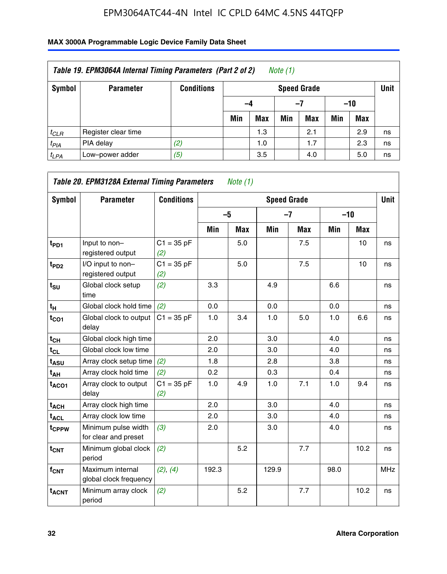| Table 19. EPM3064A Internal Timing Parameters (Part 2 of 2)<br>Note $(1)$ |                     |                   |     |                    |     |            |       |            |    |  |  |
|---------------------------------------------------------------------------|---------------------|-------------------|-----|--------------------|-----|------------|-------|------------|----|--|--|
| Symbol                                                                    | <b>Parameter</b>    | <b>Conditions</b> |     | <b>Speed Grade</b> |     |            |       |            |    |  |  |
|                                                                           |                     |                   | -4  |                    |     | -7         | $-10$ |            |    |  |  |
|                                                                           |                     |                   | Min | <b>Max</b>         | Min | <b>Max</b> | Min   | <b>Max</b> |    |  |  |
| $t_{CLR}$                                                                 | Register clear time |                   |     | 1.3                |     | 2.1        |       | 2.9        | ns |  |  |
| $t_{PIA}$                                                                 | PIA delay           | (2)               |     | 1.0                |     | 1.7        |       | 2.3        | ns |  |  |
| $t_{LPA}$                                                                 | Low-power adder     | (5)               |     | 3.5                |     | 4.0        |       | 5.0        | ns |  |  |

| Symbol                  | <b>Parameter</b>                            | <b>Conditions</b>   |       |            | <b>Speed Grade</b> |            |       |            | <b>Unit</b> |
|-------------------------|---------------------------------------------|---------------------|-------|------------|--------------------|------------|-------|------------|-------------|
|                         |                                             |                     | $-5$  |            | $-7$               |            | $-10$ |            |             |
|                         |                                             |                     | Min   | <b>Max</b> | Min                | <b>Max</b> | Min   | <b>Max</b> |             |
| $t_{PD1}$               | Input to non-<br>registered output          | $C1 = 35 pF$<br>(2) |       | 5.0        |                    | 7.5        |       | 10         | ns          |
| $t_{PD2}$               | I/O input to non-<br>registered output      | $C1 = 35 pF$<br>(2) |       | 5.0        |                    | 7.5        |       | 10         | ns          |
| $t_{\text{SU}}$         | Global clock setup<br>time                  | (2)                 | 3.3   |            | 4.9                |            | 6.6   |            | ns          |
| $t_H$                   | Global clock hold time                      | (2)                 | 0.0   |            | 0.0                |            | 0.0   |            | ns          |
| $t_{CO1}$               | Global clock to output<br>delay             | $C1 = 35 pF$        | 1.0   | 3.4        | 1.0                | 5.0        | 1.0   | 6.6        | ns          |
| $t_{CH}$                | Global clock high time                      |                     | 2.0   |            | 3.0                |            | 4.0   |            | ns          |
| $t_{CL}$                | Global clock low time                       |                     | 2.0   |            | 3.0                |            | 4.0   |            | ns          |
| $t_{\mathsf{ASU}}$      | Array clock setup time                      | (2)                 | 1.8   |            | 2.8                |            | 3.8   |            | ns          |
| t <sub>AH</sub>         | Array clock hold time                       | (2)                 | 0.2   |            | 0.3                |            | 0.4   |            | ns          |
| $t_{ACO1}$              | Array clock to output<br>delay              | $C1 = 35 pF$<br>(2) | 1.0   | 4.9        | 1.0                | 7.1        | 1.0   | 9.4        | ns          |
| $t_{ACH}$               | Array clock high time                       |                     | 2.0   |            | 3.0                |            | 4.0   |            | ns          |
| t <sub>ACL</sub>        | Array clock low time                        |                     | 2.0   |            | 3.0                |            | 4.0   |            | ns          |
| t <sub>CPPW</sub>       | Minimum pulse width<br>for clear and preset | (3)                 | 2.0   |            | 3.0                |            | 4.0   |            | ns          |
| $t_{CNT}$               | Minimum global clock<br>period              | (2)                 |       | 5.2        |                    | 7.7        |       | 10.2       | ns          |
| f <sub>CNT</sub>        | Maximum internal<br>global clock frequency  | (2), (4)            | 192.3 |            | 129.9              |            | 98.0  |            | <b>MHz</b>  |
| <b>t<sub>ACNT</sub></b> | Minimum array clock<br>period               | (2)                 |       | 5.2        |                    | 7.7        |       | 10.2       | ns          |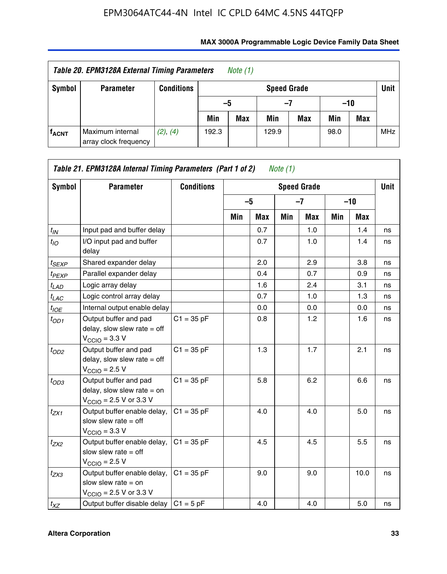| Table 20. EPM3128A External Timing Parameters<br>Note (1) |                                           |                   |       |            |                    |     |       |     |            |
|-----------------------------------------------------------|-------------------------------------------|-------------------|-------|------------|--------------------|-----|-------|-----|------------|
| Symbol                                                    | <b>Parameter</b>                          | <b>Conditions</b> |       |            | <b>Speed Grade</b> |     |       |     | Unit       |
|                                                           |                                           |                   | -5    |            | -7                 |     | $-10$ |     |            |
|                                                           |                                           |                   | Min   | <b>Max</b> | Min                | Max | Min   | Max |            |
| <b>f<sub>ACNT</sub></b>                                   | Maximum internal<br>array clock frequency | (2), (4)          | 192.3 |            | 129.9              |     | 98.0  |     | <b>MHz</b> |

| Symbol            | <b>Parameter</b>                                                                                             | <b>Conditions</b> |     |      |     | <b>Speed Grade</b> |     |            | Unit |
|-------------------|--------------------------------------------------------------------------------------------------------------|-------------------|-----|------|-----|--------------------|-----|------------|------|
|                   |                                                                                                              |                   |     | $-5$ |     | $-7$               |     | $-10$      |      |
|                   |                                                                                                              |                   | Min | Max  | Min | <b>Max</b>         | Min | <b>Max</b> |      |
| $t_{IN}$          | Input pad and buffer delay                                                                                   |                   |     | 0.7  |     | 1.0                |     | 1.4        | ns   |
| $t_{IO}$          | I/O input pad and buffer<br>delay                                                                            |                   |     | 0.7  |     | 1.0                |     | 1.4        | ns   |
| $t_{SEXP}$        | Shared expander delay                                                                                        |                   |     | 2.0  |     | 2.9                |     | 3.8        | ns   |
| t <sub>PEXP</sub> | Parallel expander delay                                                                                      |                   |     | 0.4  |     | 0.7                |     | 0.9        | ns   |
| $t_{LAD}$         | Logic array delay                                                                                            |                   |     | 1.6  |     | 2.4                |     | 3.1        | ns   |
| $t_{LAC}$         | Logic control array delay                                                                                    |                   |     | 0.7  |     | 1.0                |     | 1.3        | ns   |
| $t_{IOE}$         | Internal output enable delay                                                                                 |                   |     | 0.0  |     | 0.0                |     | 0.0        | ns   |
| $t_{OD1}$         | Output buffer and pad<br>delay, slow slew rate $=$ off<br>$V_{\text{CCIO}} = 3.3 V$                          | $C1 = 35 pF$      |     | 0.8  |     | 1.2                |     | 1.6        | ns   |
| $t_{OD2}$         | Output buffer and pad<br>delay, slow slew rate $=$ off<br>$V_{\text{CCIO}} = 2.5 V$                          | $C1 = 35 pF$      |     | 1.3  |     | 1.7                |     | 2.1        | ns   |
| $t_{OD3}$         | Output buffer and pad<br>delay, slow slew rate $=$ on<br>$V_{\text{CCIO}} = 2.5 \text{ V or } 3.3 \text{ V}$ | $C1 = 35 pF$      |     | 5.8  |     | 6.2                |     | 6.6        | ns   |
| $t_{ZX1}$         | Output buffer enable delay,<br>slow slew rate $=$ off<br>$V_{\text{CCIO}} = 3.3 V$                           | $C1 = 35 pF$      |     | 4.0  |     | 4.0                |     | 5.0        | ns   |
| $t_{ZX2}$         | Output buffer enable delay,<br>slow slew rate $=$ off<br>$VCCIO = 2.5 V$                                     | $C1 = 35 pF$      |     | 4.5  |     | 4.5                |     | 5.5        | ns   |
| $t_{ZX3}$         | Output buffer enable delay,<br>slow slew rate $=$ on<br>$V_{\text{CCIO}} = 2.5 \text{ V or } 3.3 \text{ V}$  | $C1 = 35 pF$      |     | 9.0  |     | 9.0                |     | 10.0       | ns   |
| $t_{XZ}$          | Output buffer disable delay                                                                                  | $C1 = 5 pF$       |     | 4.0  |     | 4.0                |     | 5.0        | ns   |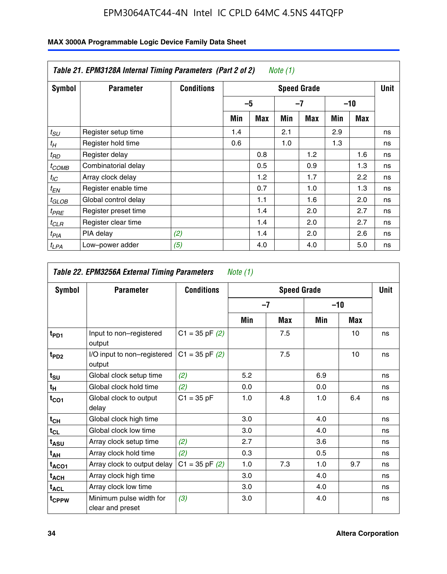|                  | Table 21. EPM3128A Internal Timing Parameters (Part 2 of 2)<br>Note (1) |                   |                    |            |     |     |     |       |    |  |  |
|------------------|-------------------------------------------------------------------------|-------------------|--------------------|------------|-----|-----|-----|-------|----|--|--|
| Symbol           | <b>Parameter</b>                                                        | <b>Conditions</b> | <b>Speed Grade</b> |            |     |     |     |       |    |  |  |
|                  |                                                                         |                   |                    | $-5$       |     | -7  |     | $-10$ |    |  |  |
|                  |                                                                         |                   | Min                | <b>Max</b> | Min | Max | Min | Max   |    |  |  |
| $t_{SU}$         | Register setup time                                                     |                   | 1.4                |            | 2.1 |     | 2.9 |       | ns |  |  |
| $t_H$            | Register hold time                                                      |                   | 0.6                |            | 1.0 |     | 1.3 |       | ns |  |  |
| $t_{RD}$         | Register delay                                                          |                   |                    | 0.8        |     | 1.2 |     | 1.6   | ns |  |  |
| ${}^t$ COMB      | Combinatorial delay                                                     |                   |                    | 0.5        |     | 0.9 |     | 1.3   | ns |  |  |
| $t_{IC}$         | Array clock delay                                                       |                   |                    | 1.2        |     | 1.7 |     | 2.2   | ns |  |  |
| $t_{EN}$         | Register enable time                                                    |                   |                    | 0.7        |     | 1.0 |     | 1.3   | ns |  |  |
| $t_{GLOB}$       | Global control delay                                                    |                   |                    | 1.1        |     | 1.6 |     | 2.0   | ns |  |  |
| $t_{PRE}$        | Register preset time                                                    |                   |                    | 1.4        |     | 2.0 |     | 2.7   | ns |  |  |
| ${}^tCLR$        | Register clear time                                                     |                   |                    | 1.4        |     | 2.0 |     | 2.7   | ns |  |  |
| t <sub>PIA</sub> | PIA delay                                                               | (2)               |                    | 1.4        |     | 2.0 |     | 2.6   | ns |  |  |
| ${}^tLPA$        | Low-power adder                                                         | (5)               |                    | 4.0        |     | 4.0 |     | 5.0   | ns |  |  |

|                   | Table 22. EPM3256A External Timing Parameters<br>Note $(1)$ |                    |     |                    |       |     |             |  |  |  |  |
|-------------------|-------------------------------------------------------------|--------------------|-----|--------------------|-------|-----|-------------|--|--|--|--|
| Symbol            | <b>Parameter</b>                                            | <b>Conditions</b>  |     | <b>Speed Grade</b> |       |     | <b>Unit</b> |  |  |  |  |
|                   |                                                             |                    |     | $-7$               | $-10$ |     |             |  |  |  |  |
|                   |                                                             |                    | Min | Max                | Min   | Max |             |  |  |  |  |
| t <sub>PD1</sub>  | Input to non-registered<br>output                           | $C1 = 35$ pF $(2)$ |     | 7.5                |       | 10  | ns          |  |  |  |  |
| t <sub>PD2</sub>  | I/O input to non-registered<br>output                       | $C1 = 35$ pF $(2)$ |     | 7.5                |       | 10  | ns          |  |  |  |  |
| $t_{\text{SU}}$   | Global clock setup time                                     | (2)                | 5.2 |                    | 6.9   |     | ns          |  |  |  |  |
| t <sub>H</sub>    | Global clock hold time                                      | (2)                | 0.0 |                    | 0.0   |     | ns          |  |  |  |  |
| $t_{CO1}$         | Global clock to output<br>delay                             | $C1 = 35 pF$       | 1.0 | 4.8                | 1.0   | 6.4 | ns          |  |  |  |  |
| $t_{CH}$          | Global clock high time                                      |                    | 3.0 |                    | 4.0   |     | ns          |  |  |  |  |
| $t_{CL}$          | Global clock low time                                       |                    | 3.0 |                    | 4.0   |     | ns          |  |  |  |  |
| t <sub>ASU</sub>  | Array clock setup time                                      | (2)                | 2.7 |                    | 3.6   |     | ns          |  |  |  |  |
| $t_{AH}$          | Array clock hold time                                       | (2)                | 0.3 |                    | 0.5   |     | ns          |  |  |  |  |
| $t_{ACO1}$        | Array clock to output delay                                 | $C1 = 35$ pF $(2)$ | 1.0 | 7.3                | 1.0   | 9.7 | ns          |  |  |  |  |
| $t_{\sf ACH}$     | Array clock high time                                       |                    | 3.0 |                    | 4.0   |     | ns          |  |  |  |  |
| $t_{\sf ACL}$     | Array clock low time                                        |                    | 3.0 |                    | 4.0   |     | ns          |  |  |  |  |
| t <sub>CPPW</sub> | Minimum pulse width for<br>clear and preset                 | (3)                | 3.0 |                    | 4.0   |     | ns          |  |  |  |  |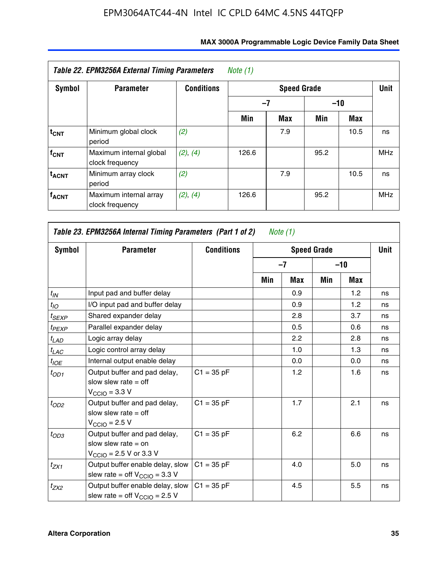| <b>Symbol</b>           | <b>Parameter</b>                           | <b>Conditions</b> |       | Unit |       |      |            |
|-------------------------|--------------------------------------------|-------------------|-------|------|-------|------|------------|
|                         |                                            |                   | $-7$  |      | $-10$ |      |            |
|                         |                                            |                   | Min   | Max  | Min   | Max  |            |
| $t_{\mathsf{CNT}}$      | Minimum global clock<br>period             | (2)               |       | 7.9  |       | 10.5 | ns         |
| f <sub>CNT</sub>        | Maximum internal global<br>clock frequency | (2), (4)          | 126.6 |      | 95.2  |      | <b>MHz</b> |
| <b>t<sub>ACNT</sub></b> | Minimum array clock<br>period              | (2)               |       | 7.9  |       | 10.5 | ns         |
| <b>f<sub>ACNT</sub></b> | Maximum internal array<br>clock frequency  | (2), (4)          | 126.6 |      | 95.2  |      | <b>MHz</b> |

| Table 23. EPM3256A Internal Timing Parameters (Part 1 of 2)<br>Note (1) |                                                                                                              |                   |     |      |                    |       |             |  |  |  |
|-------------------------------------------------------------------------|--------------------------------------------------------------------------------------------------------------|-------------------|-----|------|--------------------|-------|-------------|--|--|--|
| Symbol                                                                  | <b>Parameter</b>                                                                                             | <b>Conditions</b> |     |      | <b>Speed Grade</b> |       | <b>Unit</b> |  |  |  |
|                                                                         |                                                                                                              |                   |     | $-7$ |                    | $-10$ |             |  |  |  |
|                                                                         |                                                                                                              |                   | Min | Max  | Min                | Max   |             |  |  |  |
| $t_{IN}$                                                                | Input pad and buffer delay                                                                                   |                   |     | 0.9  |                    | 1.2   | ns          |  |  |  |
| $t_{IO}$                                                                | I/O input pad and buffer delay                                                                               |                   |     | 0.9  |                    | 1.2   | ns          |  |  |  |
| $t_{SEXP}$                                                              | Shared expander delay                                                                                        |                   |     | 2.8  |                    | 3.7   | ns          |  |  |  |
| $t_{PEXP}$                                                              | Parallel expander delay                                                                                      |                   |     | 0.5  |                    | 0.6   | ns          |  |  |  |
| $t_{LAD}$                                                               | Logic array delay                                                                                            |                   |     | 2.2  |                    | 2.8   | ns          |  |  |  |
| $t_{LAC}$                                                               | Logic control array delay                                                                                    |                   |     | 1.0  |                    | 1.3   | ns          |  |  |  |
| $t_{IOE}$                                                               | Internal output enable delay                                                                                 |                   |     | 0.0  |                    | 0.0   | ns          |  |  |  |
| $t_{OD1}$                                                               | Output buffer and pad delay,<br>slow slew rate $=$ off<br>$V_{\text{CCIO}} = 3.3 \text{ V}$                  | $C1 = 35 pF$      |     | 1.2  |                    | 1.6   | ns          |  |  |  |
| $t_{OD2}$                                                               | Output buffer and pad delay,<br>slow slew rate $=$ off<br>$V_{\text{CCIO}} = 2.5 V$                          | $C1 = 35 pF$      |     | 1.7  |                    | 2.1   | ns          |  |  |  |
| $t_{OD3}$                                                               | Output buffer and pad delay,<br>slow slew rate $=$ on<br>$V_{\text{CCIO}} = 2.5 \text{ V or } 3.3 \text{ V}$ | $C1 = 35 pF$      |     | 6.2  |                    | 6.6   | ns          |  |  |  |
| $t_{ZX1}$                                                               | Output buffer enable delay, slow<br>slew rate = off $V_{\text{CCIO}} = 3.3$ V                                | $C1 = 35 pF$      |     | 4.0  |                    | 5.0   | ns          |  |  |  |
| $t_{ZX2}$                                                               | Output buffer enable delay, slow<br>slew rate = off $V_{\text{CCIO}} = 2.5 V$                                | $C1 = 35 pF$      |     | 4.5  |                    | 5.5   | ns          |  |  |  |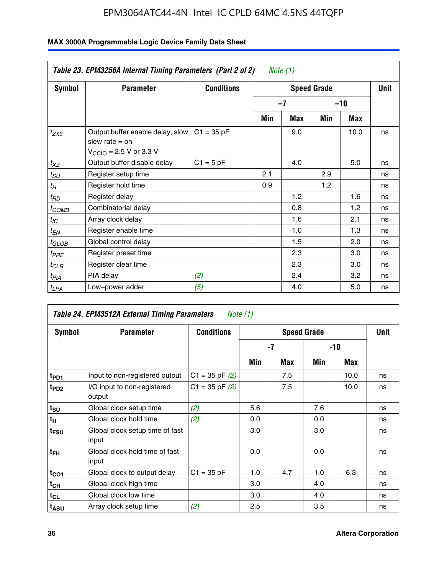|               | Table 23. EPM3256A Internal Timing Parameters (Part 2 of 2)                                                 |                   |     | Note (1) |                    |       |             |
|---------------|-------------------------------------------------------------------------------------------------------------|-------------------|-----|----------|--------------------|-------|-------------|
| <b>Symbol</b> | <b>Parameter</b>                                                                                            | <b>Conditions</b> |     |          | <b>Speed Grade</b> |       | <b>Unit</b> |
|               |                                                                                                             |                   |     | $-7$     |                    | $-10$ |             |
|               |                                                                                                             |                   | Min | Max      | Min                | Max   |             |
| $t_{ZX3}$     | Output buffer enable delay, slow<br>slew rate $=$ on<br>$V_{\text{CCIO}} = 2.5 \text{ V or } 3.3 \text{ V}$ | $C1 = 35 pF$      |     | 9.0      |                    | 10.0  | ns          |
| $t_{XZ}$      | Output buffer disable delay                                                                                 | $C1 = 5 pF$       |     | 4.0      |                    | 5.0   | ns          |
| $t_{SU}$      | Register setup time                                                                                         |                   | 2.1 |          | 2.9                |       | ns          |
| $t_H$         | Register hold time                                                                                          |                   | 0.9 |          | 1.2                |       | ns          |
| $t_{RD}$      | Register delay                                                                                              |                   |     | 1.2      |                    | 1.6   | ns          |
| $t_{COMB}$    | Combinatorial delay                                                                                         |                   |     | 0.8      |                    | 1.2   | ns          |
| $t_{IC}$      | Array clock delay                                                                                           |                   |     | 1.6      |                    | 2.1   | ns          |
| $t_{EN}$      | Register enable time                                                                                        |                   |     | 1.0      |                    | 1.3   | ns          |
| $t_{GLOB}$    | Global control delay                                                                                        |                   |     | 1.5      |                    | 2.0   | ns          |
| $t_{PRE}$     | Register preset time                                                                                        |                   |     | 2.3      |                    | 3.0   | ns          |
| $t_{CLR}$     | Register clear time                                                                                         |                   |     | 2.3      |                    | 3.0   | ns          |
| $t_{PIA}$     | PIA delay                                                                                                   | (2)               |     | 2.4      |                    | 3.2   | ns          |
| $t_{LPA}$     | Low-power adder                                                                                             | (5)               |     | 4.0      |                    | 5.0   | ns          |

| Table 24. EPM3512A External Timing Parameters<br>Note (1) |                                          |                    |                    |     |       |      |    |
|-----------------------------------------------------------|------------------------------------------|--------------------|--------------------|-----|-------|------|----|
| Symbol                                                    | <b>Parameter</b>                         | <b>Conditions</b>  | <b>Speed Grade</b> |     |       | Unit |    |
|                                                           |                                          |                    | -7                 |     | $-10$ |      |    |
|                                                           |                                          |                    | Min                | Max | Min   | Max  |    |
| t <sub>PD1</sub>                                          | Input to non-registered output           | $C1 = 35$ pF $(2)$ |                    | 7.5 |       | 10.0 | ns |
| $t_{PD2}$                                                 | I/O input to non-registered<br>output    | $C1 = 35 pF(2)$    |                    | 7.5 |       | 10.0 | ns |
| $t_{\text{SU}}$                                           | Global clock setup time                  | (2)                | 5.6                |     | 7.6   |      | ns |
| $t_H$                                                     | Global clock hold time                   | (2)                | 0.0                |     | 0.0   |      | ns |
| t <sub>FSU</sub>                                          | Global clock setup time of fast<br>input |                    | 3.0                |     | 3.0   |      | ns |
| t <sub>FH</sub>                                           | Global clock hold time of fast<br>input  |                    | 0.0                |     | 0.0   |      | ns |
| $t_{CO1}$                                                 | Global clock to output delay             | $C1 = 35 pF$       | 1.0                | 4.7 | 1.0   | 6.3  | ns |
| $t_{CH}$                                                  | Global clock high time                   |                    | 3.0                |     | 4.0   |      | ns |
| $t_{CL}$                                                  | Global clock low time                    |                    | 3.0                |     | 4.0   |      | ns |
| t <sub>ASU</sub>                                          | Array clock setup time                   | (2)                | 2.5                |     | 3.5   |      | ns |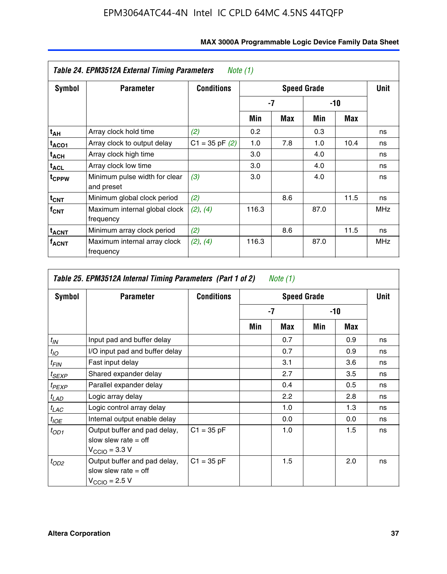| Table 24. EPM3512A External Timing Parameters<br>Note $(1)$ |                                             |                    |                  |      |       |            |            |
|-------------------------------------------------------------|---------------------------------------------|--------------------|------------------|------|-------|------------|------------|
| Symbol                                                      | <b>Parameter</b>                            | <b>Conditions</b>  |                  | Unit |       |            |            |
|                                                             |                                             |                    | -7               |      | $-10$ |            |            |
|                                                             |                                             |                    | Min              | Max  | Min   | <b>Max</b> |            |
| t <sub>АН</sub>                                             | Array clock hold time                       | (2)                | 0.2 <sub>0</sub> |      | 0.3   |            | ns         |
| t <sub>ACO1</sub>                                           | Array clock to output delay                 | $C1 = 35$ pF $(2)$ | 1.0              | 7.8  | 1.0   | 10.4       | ns         |
| $t_{\sf ACH}$                                               | Array clock high time                       |                    | 3.0              |      | 4.0   |            | ns         |
| $t_{\sf ACL}$                                               | Array clock low time                        |                    | 3.0              |      | 4.0   |            | ns         |
| t <sub>CPPW</sub>                                           | Minimum pulse width for clear<br>and preset | (3)                | 3.0              |      | 4.0   |            | ns         |
| $t_{CNT}$                                                   | Minimum global clock period                 | (2)                |                  | 8.6  |       | 11.5       | ns         |
| $f_{CNT}$                                                   | Maximum internal global clock<br>frequency  | (2), (4)           | 116.3            |      | 87.0  |            | <b>MHz</b> |
| $t_{ACNT}$                                                  | Minimum array clock period                  | (2)                |                  | 8.6  |       | 11.5       | ns         |
| <sup>T</sup> ACNT                                           | Maximum internal array clock<br>frequency   | (2), (4)           | 116.3            |      | 87.0  |            | <b>MHz</b> |

| Table 25. EPM3512A Internal Timing Parameters (Part 1 of 2) Note $(1)$ |                                                                                     |                   |     |      |       |     |    |
|------------------------------------------------------------------------|-------------------------------------------------------------------------------------|-------------------|-----|------|-------|-----|----|
| Symbol                                                                 | <b>Parameter</b>                                                                    | <b>Conditions</b> |     | Unit |       |     |    |
|                                                                        |                                                                                     |                   | -7  |      | $-10$ |     |    |
|                                                                        |                                                                                     |                   | Min | Max  | Min   | Max |    |
| $t_{IN}$                                                               | Input pad and buffer delay                                                          |                   |     | 0.7  |       | 0.9 | ns |
| $t_{IO}$                                                               | I/O input pad and buffer delay                                                      |                   |     | 0.7  |       | 0.9 | ns |
| $t_{FIN}$                                                              | Fast input delay                                                                    |                   |     | 3.1  |       | 3.6 | ns |
| $t_{SEXP}$                                                             | Shared expander delay                                                               |                   |     | 2.7  |       | 3.5 | ns |
| $t_{PEXP}$                                                             | Parallel expander delay                                                             |                   |     | 0.4  |       | 0.5 | ns |
| $t_{LAD}$                                                              | Logic array delay                                                                   |                   |     | 2.2  |       | 2.8 | ns |
| $t_{LAC}$                                                              | Logic control array delay                                                           |                   |     | 1.0  |       | 1.3 | ns |
| $t_{IOE}$                                                              | Internal output enable delay                                                        |                   |     | 0.0  |       | 0.0 | ns |
| $t_{OD1}$                                                              | Output buffer and pad delay,<br>slow slew rate $=$ off<br>$V_{\rm CClO}$ = 3.3 V    | $C1 = 35 pF$      |     | 1.0  |       | 1.5 | ns |
| $t_{OD2}$                                                              | Output buffer and pad delay,<br>slow slew rate $=$ off<br>$V_{\text{CCIO}} = 2.5 V$ | $C1 = 35 pF$      |     | 1.5  |       | 2.0 | ns |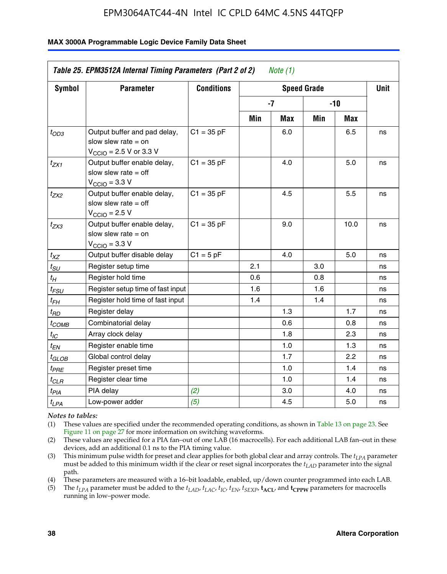#### **MAX 3000A Programmable Logic Device Family Data Sheet**

| Symbol                            | <b>Parameter</b>                                                                                             | <b>Conditions</b> |      | <b>Unit</b> |       |      |    |
|-----------------------------------|--------------------------------------------------------------------------------------------------------------|-------------------|------|-------------|-------|------|----|
|                                   |                                                                                                              |                   | $-7$ |             | $-10$ |      |    |
|                                   |                                                                                                              |                   | Min  | <b>Max</b>  | Min   | Max  |    |
| $t_{OD3}$                         | Output buffer and pad delay,<br>slow slew rate $=$ on<br>$V_{\text{CCIO}} = 2.5 \text{ V or } 3.3 \text{ V}$ | $C1 = 35 pF$      |      | 6.0         |       | 6.5  | ns |
| $t_{ZX1}$                         | Output buffer enable delay,<br>slow slew rate $=$ off<br>$V_{\text{CCIO}} = 3.3 \text{ V}$                   | $C1 = 35 pF$      |      | 4.0         |       | 5.0  | ns |
| $t_{ZX2}$                         | Output buffer enable delay,<br>slow slew rate $=$ off<br>$V_{\text{CCIO}}$ = 2.5 V                           | $C1 = 35 pF$      |      | 4.5         |       | 5.5  | ns |
| $t_{ZX3}$                         | Output buffer enable delay,<br>slow slew rate $=$ on<br>$V_{\text{CCIO}} = 3.3 V$                            | $C1 = 35 pF$      |      | 9.0         |       | 10.0 | ns |
| $t_{XZ}$                          | Output buffer disable delay                                                                                  | $C1 = 5pF$        |      | 4.0         |       | 5.0  | ns |
| $t_{SU}$                          | Register setup time                                                                                          |                   | 2.1  |             | 3.0   |      | ns |
| $t_H$                             | Register hold time                                                                                           |                   | 0.6  |             | 0.8   |      | ns |
| $t_{\it FSU}$                     | Register setup time of fast input                                                                            |                   | 1.6  |             | 1.6   |      | ns |
| t <sub>FH</sub>                   | Register hold time of fast input                                                                             |                   | 1.4  |             | 1.4   |      | ns |
| $t_{RD}$                          | Register delay                                                                                               |                   |      | 1.3         |       | 1.7  | ns |
| $t_{COMB}$                        | Combinatorial delay                                                                                          |                   |      | 0.6         |       | 0.8  | ns |
| $t_{IC}$                          | Array clock delay                                                                                            |                   |      | 1.8         |       | 2.3  | ns |
| $t_{EN}$                          | Register enable time                                                                                         |                   |      | 1.0         |       | 1.3  | ns |
| $t_{GLOB}$                        | Global control delay                                                                                         |                   |      | 1.7         |       | 2.2  | ns |
| $t_{P\underline{B}\underline{E}}$ | Register preset time                                                                                         |                   |      | 1.0         |       | 1.4  | ns |
| $t_{CLR}$                         | Register clear time                                                                                          |                   |      | 1.0         |       | 1.4  | ns |
| $t_{PIA}$                         | PIA delay                                                                                                    | (2)               |      | 3.0         |       | 4.0  | ns |
| $t_{LPA}$                         | Low-power adder                                                                                              | (5)               |      | 4.5         |       | 5.0  | ns |

*Notes to tables:*

(1) These values are specified under the recommended operating conditions, as shown in Table 13 on page 23. See Figure 11 on page 27 for more information on switching waveforms.

(2) These values are specified for a PIA fan–out of one LAB (16 macrocells). For each additional LAB fan–out in these devices, add an additional 0.1 ns to the PIA timing value.

(3) This minimum pulse width for preset and clear applies for both global clear and array controls. The *tLPA* parameter must be added to this minimum width if the clear or reset signal incorporates the *tLAD* parameter into the signal path.

(4) These parameters are measured with a 16–bit loadable, enabled, up/down counter programmed into each LAB.

(5) The  $t_{LPA}$  parameter must be added to the  $t_{LAD}$ ,  $t_{LAC}$ ,  $t_{IC}$ ,  $t_{EN}$ ,  $t_{SEXP}$ ,  $t_{ACL}$ , and  $t_{CPPW}$  parameters for macrocells running in low–power mode.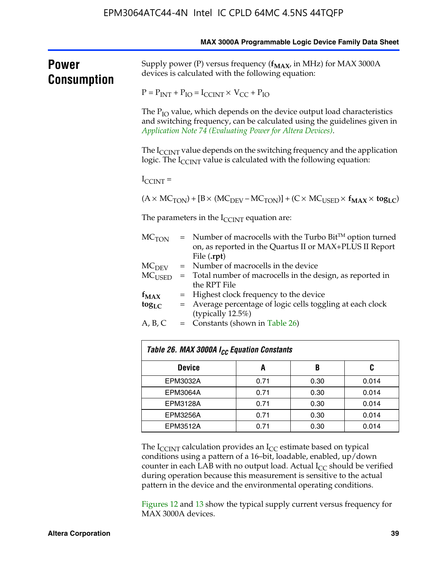|                      |                                                                                                                          |                                                                                                                                                                                                                       |                                                                                                                                                                       |      | MAX 3000A Programmable Logic Device Family Data Sheet |  |  |  |
|----------------------|--------------------------------------------------------------------------------------------------------------------------|-----------------------------------------------------------------------------------------------------------------------------------------------------------------------------------------------------------------------|-----------------------------------------------------------------------------------------------------------------------------------------------------------------------|------|-------------------------------------------------------|--|--|--|
| Power<br>Consumption | Supply power (P) versus frequency $(f_{MAX}$ in MHz) for MAX 3000A<br>devices is calculated with the following equation: |                                                                                                                                                                                                                       |                                                                                                                                                                       |      |                                                       |  |  |  |
|                      | $P = P_{INT} + P_{IO} = I_{CCINT} \times V_{CC} + P_{IO}$                                                                |                                                                                                                                                                                                                       |                                                                                                                                                                       |      |                                                       |  |  |  |
|                      |                                                                                                                          | The $P_{IO}$ value, which depends on the device output load characteristics<br>and switching frequency, can be calculated using the guidelines given in<br>Application Note 74 (Evaluating Power for Altera Devices). |                                                                                                                                                                       |      |                                                       |  |  |  |
|                      |                                                                                                                          |                                                                                                                                                                                                                       | The $I_{\text{CCINT}}$ value depends on the switching frequency and the application<br>logic. The $I_{\text{CCINT}}$ value is calculated with the following equation: |      |                                                       |  |  |  |
|                      | $I_{\text{CCINT}}$ =                                                                                                     |                                                                                                                                                                                                                       |                                                                                                                                                                       |      |                                                       |  |  |  |
|                      |                                                                                                                          | $(A \times MC_{TON}) + [B \times (MC_{DEV} - MC_{TON})] + (C \times MC_{USED} \times f_{MAX} \times tog_{LC})$                                                                                                        |                                                                                                                                                                       |      |                                                       |  |  |  |
|                      |                                                                                                                          | The parameters in the $I_{\text{CCINT}}$ equation are:                                                                                                                                                                |                                                                                                                                                                       |      |                                                       |  |  |  |
|                      | $MC$ <sub>TON</sub>                                                                                                      | = Number of macrocells with the Turbo Bit™ option turned<br>on, as reported in the Quartus II or MAX+PLUS II Report<br>File (.rpt)                                                                                    |                                                                                                                                                                       |      |                                                       |  |  |  |
|                      |                                                                                                                          | = Number of macrocells in the device<br>$MC$ <sub>DEV</sub>                                                                                                                                                           |                                                                                                                                                                       |      |                                                       |  |  |  |
|                      | MC <sub>USED</sub>                                                                                                       | = Total number of macrocells in the design, as reported in<br>the RPT File                                                                                                                                            |                                                                                                                                                                       |      |                                                       |  |  |  |
|                      | $f_{MAX}$<br>$=$                                                                                                         | Highest clock frequency to the device                                                                                                                                                                                 |                                                                                                                                                                       |      |                                                       |  |  |  |
|                      | $\log_{LC}$                                                                                                              | = Average percentage of logic cells toggling at each clock                                                                                                                                                            |                                                                                                                                                                       |      |                                                       |  |  |  |
|                      | A, B, C                                                                                                                  | (typically 12.5%)<br>= Constants (shown in Table 26)                                                                                                                                                                  |                                                                                                                                                                       |      |                                                       |  |  |  |
|                      |                                                                                                                          |                                                                                                                                                                                                                       |                                                                                                                                                                       |      |                                                       |  |  |  |
|                      |                                                                                                                          |                                                                                                                                                                                                                       | Table 26. MAX 3000A I <sub>CC</sub> Equation Constants                                                                                                                |      |                                                       |  |  |  |
|                      | <b>Device</b>                                                                                                            |                                                                                                                                                                                                                       | A                                                                                                                                                                     | B    | C                                                     |  |  |  |
|                      | EPM3032A                                                                                                                 |                                                                                                                                                                                                                       | 0.71                                                                                                                                                                  | 0.30 | 0.014                                                 |  |  |  |
|                      | <b>EPM3064A</b><br>0.30<br>0.71                                                                                          |                                                                                                                                                                                                                       |                                                                                                                                                                       |      | 0.014                                                 |  |  |  |
|                      | <b>EPM3128A</b>                                                                                                          |                                                                                                                                                                                                                       | 0.71                                                                                                                                                                  | 0.30 | 0.014                                                 |  |  |  |

The  $I_{\text{CCINT}}$  calculation provides an  $I_{\text{CC}}$  estimate based on typical conditions using a pattern of a 16–bit, loadable, enabled, up/down counter in each LAB with no output load. Actual  $I_{CC}$  should be verified during operation because this measurement is sensitive to the actual pattern in the device and the environmental operating conditions.

EPM3256A 0.71 0.30 0.014 EPM3512A 0.71 0.30 0.014

Figures 12 and 13 show the typical supply current versus frequency for MAX 3000A devices.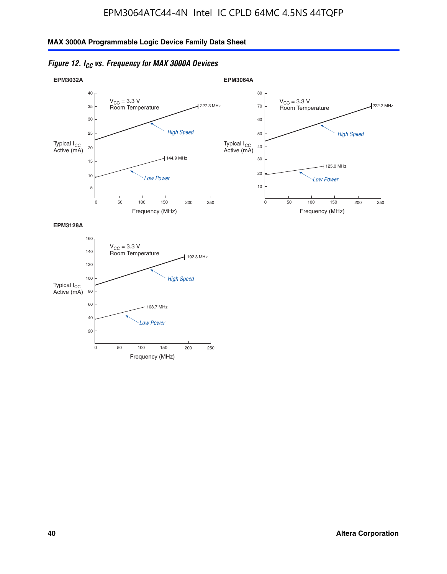



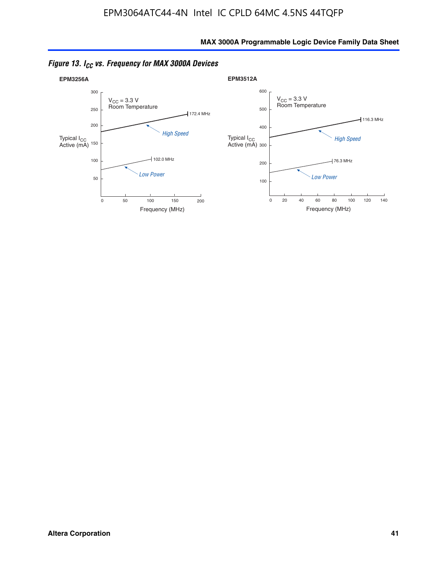

*Figure 13. ICC vs. Frequency for MAX 3000A Devices*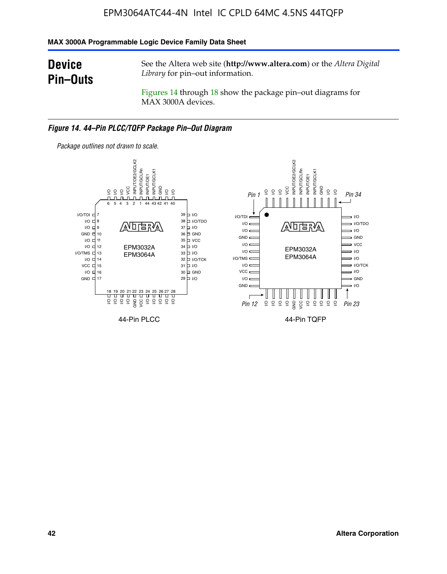#### **MAX 3000A Programmable Logic Device Family Data Sheet**

## **Device Pin–Outs**

See the Altera web site (**http://www.altera.com**) or the *Altera Digital Library* for pin–out information.

Figures 14 through 18 show the package pin–out diagrams for MAX 3000A devices.

#### *Figure 14. 44–Pin PLCC/TQFP Package Pin–Out Diagram*



**42 Altera Corporation**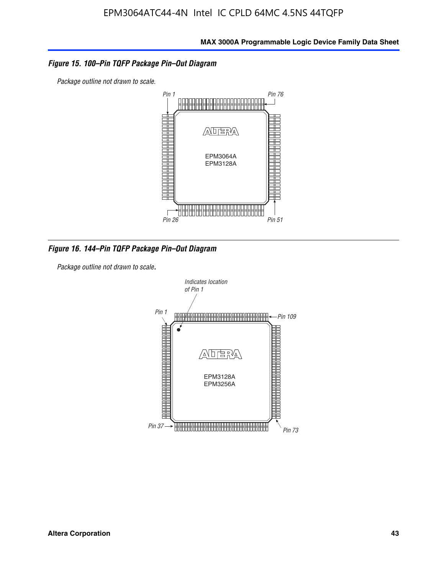#### *Figure 15. 100–Pin TQFP Package Pin–Out Diagram*

*Package outline not drawn to scale.*



*Figure 16. 144–Pin TQFP Package Pin–Out Diagram*

*Package outline not drawn to scale*.

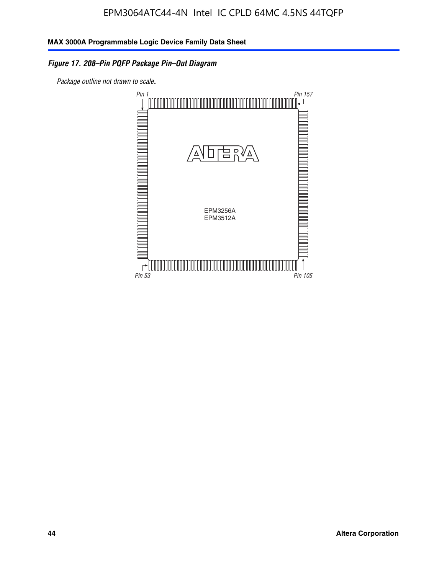## *Figure 17. 208–Pin PQFP Package Pin–Out Diagram*

*Package outline not drawn to scale*.

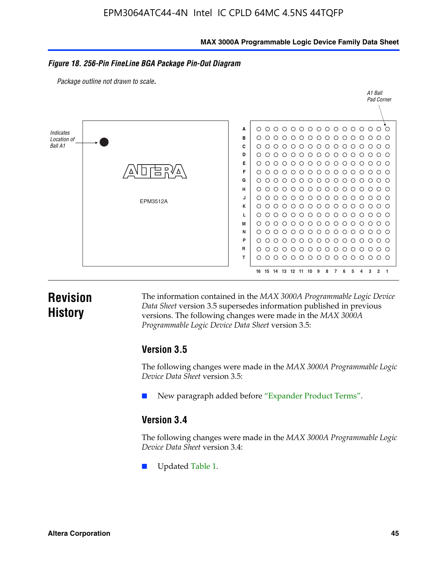#### **MAX 3000A Programmable Logic Device Family Data Sheet**

#### *Figure 18. 256-Pin FineLine BGA Package Pin-Out Diagram*

*Package outline not drawn to scale*.



## **Revision History**

The information contained in the *MAX 3000A Programmable Logic Device Data Sheet* version 3.5 supersedes information published in previous versions. The following changes were made in the *MAX 3000A Programmable Logic Device Data Sheet* version 3.5:

#### **Version 3.5**

The following changes were made in the *MAX 3000A Programmable Logic Device Data Sheet* version 3.5:

New paragraph added before "Expander Product Terms".

## **Version 3.4**

The following changes were made in the *MAX 3000A Programmable Logic Device Data Sheet* version 3.4:

Updated Table 1.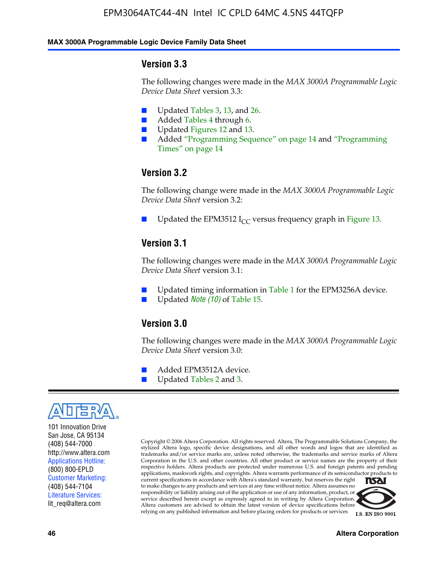#### **MAX 3000A Programmable Logic Device Family Data Sheet**

#### **Version 3.3**

The following changes were made in the *MAX 3000A Programmable Logic Device Data Sheet* version 3.3:

- Updated Tables 3, 13, and 26.
- Added Tables 4 through 6.
- Updated Figures 12 and 13.
- Added "Programming Sequence" on page 14 and "Programming Times" on page 14

### **Version 3.2**

The following change were made in the *MAX 3000A Programmable Logic Device Data Sheet* version 3.2:

Updated the EPM3512 I<sub>CC</sub> versus frequency graph in Figure 13.

#### **Version 3.1**

The following changes were made in the *MAX 3000A Programmable Logic Device Data Sheet* version 3.1:

- Updated timing information in Table 1 for the EPM3256A device.
- Updated *Note* (10) of Table 15.

### **Version 3.0**

The following changes were made in the *MAX 3000A Programmable Logic Device Data Sheet* version 3.0:

- Added EPM3512A device.
- Updated Tables 2 and 3.



101 Innovation Drive San Jose, CA 95134 (408) 544-7000 http://www.altera.com Applications Hotline: (800) 800-EPLD Customer Marketing: (408) 544-7104 Literature Services: lit\_req@altera.com

Copyright © 2006 Altera Corporation. All rights reserved. Altera, The Programmable Solutions Company, the stylized Altera logo, specific device designations, and all other words and logos that are identified as trademarks and/or service marks are, unless noted otherwise, the trademarks and service marks of Altera Corporation in the U.S. and other countries. All other product or service names are the property of their respective holders. Altera products are protected under numerous U.S. and foreign patents and pending applications, maskwork rights, and copyrights. Altera warrants performance of its semiconductor products to current specifications in accordance with Altera's standard warranty, but reserves the right **NSAI** to make changes to any products and services at any time without notice. Altera assumes no responsibility or liability arising out of the application or use of any information, product, or

service described herein except as expressly agreed to in writing by Altera Corporation. Altera customers are advised to obtain the latest version of device specifications before relying on any published information and before placing orders for products or services